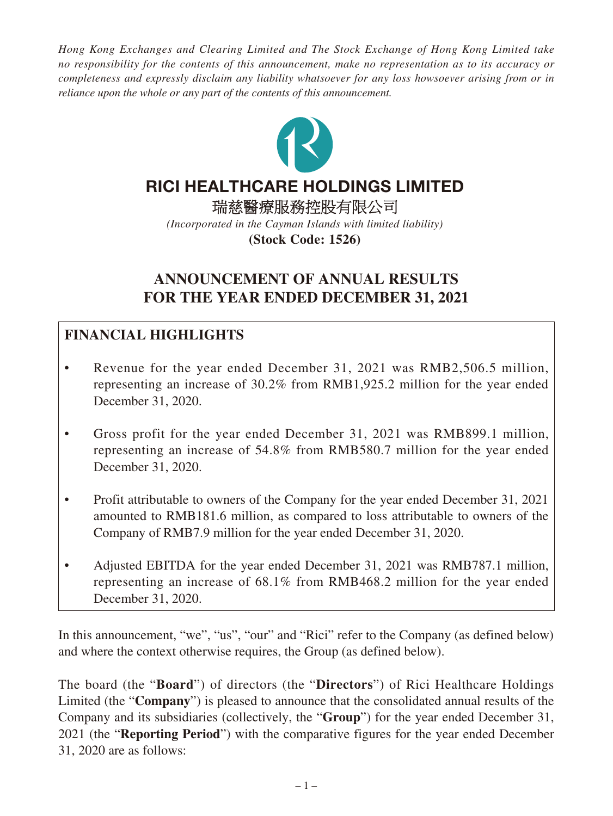*Hong Kong Exchanges and Clearing Limited and The Stock Exchange of Hong Kong Limited take no responsibility for the contents of this announcement, make no representation as to its accuracy or completeness and expressly disclaim any liability whatsoever for any loss howsoever arising from or in reliance upon the whole or any part of the contents of this announcement.*



# RICI HEALTHCARE HOLDINGS LIMITED

瑞慈醫療服務控股有限公司 *(Incorporated in the Cayman Islands with limited liability)* **(Stock Code: 1526)**

# **ANNOUNCEMENT OF ANNUAL RESULTS FOR THE YEAR ENDED DECEMBER 31, 2021**

# **FINANCIAL HIGHLIGHTS**

- Revenue for the year ended December 31, 2021 was RMB2,506.5 million, representing an increase of 30.2% from RMB1,925.2 million for the year ended December 31, 2020.
- Gross profit for the year ended December 31, 2021 was RMB899.1 million, representing an increase of 54.8% from RMB580.7 million for the year ended December 31, 2020.
- Profit attributable to owners of the Company for the year ended December 31, 2021 amounted to RMB181.6 million, as compared to loss attributable to owners of the Company of RMB7.9 million for the year ended December 31, 2020.
- Adjusted EBITDA for the year ended December 31, 2021 was RMB787.1 million, representing an increase of 68.1% from RMB468.2 million for the year ended December 31, 2020.

In this announcement, "we", "us", "our" and "Rici" refer to the Company (as defined below) and where the context otherwise requires, the Group (as defined below).

The board (the "**Board**") of directors (the "**Directors**") of Rici Healthcare Holdings Limited (the "**Company**") is pleased to announce that the consolidated annual results of the Company and its subsidiaries (collectively, the "**Group**") for the year ended December 31, 2021 (the "**Reporting Period**") with the comparative figures for the year ended December 31, 2020 are as follows: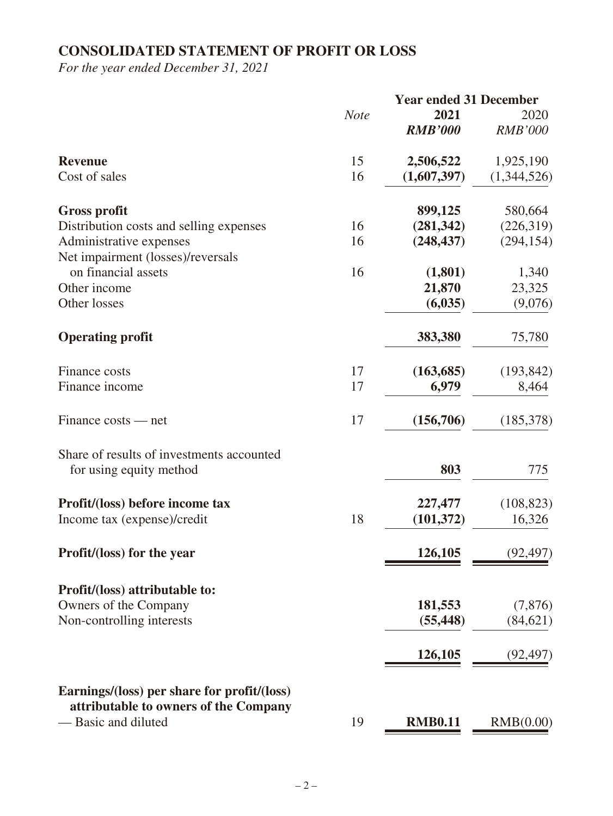# **CONSOLIDATED STATEMENT OF PROFIT OR LOSS**

*For the year ended December 31, 2021*

|                                                                                      |             | <b>Year ended 31 December</b> |                |
|--------------------------------------------------------------------------------------|-------------|-------------------------------|----------------|
|                                                                                      | <b>Note</b> | 2021                          | 2020           |
|                                                                                      |             | <b>RMB'000</b>                | <b>RMB'000</b> |
| <b>Revenue</b>                                                                       | 15          | 2,506,522                     | 1,925,190      |
| Cost of sales                                                                        | 16          | (1,607,397)                   | (1,344,526)    |
| <b>Gross profit</b>                                                                  |             | 899,125                       | 580,664        |
| Distribution costs and selling expenses                                              | 16          | (281, 342)                    | (226,319)      |
| Administrative expenses                                                              | 16          | (248, 437)                    | (294, 154)     |
| Net impairment (losses)/reversals                                                    |             |                               |                |
| on financial assets                                                                  | 16          | (1,801)                       | 1,340          |
| Other income                                                                         |             | 21,870                        | 23,325         |
| Other losses                                                                         |             | (6,035)                       | (9,076)        |
|                                                                                      |             |                               |                |
| <b>Operating profit</b>                                                              |             | 383,380                       | 75,780         |
| <b>Finance costs</b>                                                                 | 17          | (163, 685)                    | (193, 842)     |
| Finance income                                                                       | 17          | 6,979                         | 8,464          |
|                                                                                      |             |                               |                |
| Finance costs — net                                                                  | 17          | (156,706)                     | (185,378)      |
| Share of results of investments accounted                                            |             |                               |                |
| for using equity method                                                              |             | 803                           | 775            |
| Profit/(loss) before income tax                                                      |             | 227,477                       | (108, 823)     |
| Income tax (expense)/credit                                                          | 18          | (101, 372)                    | 16,326         |
|                                                                                      |             |                               |                |
| Profit/(loss) for the year                                                           |             | 126,105                       | (92, 497)      |
| Profit/(loss) attributable to:                                                       |             |                               |                |
| Owners of the Company                                                                |             | 181,553                       | (7,876)        |
| Non-controlling interests                                                            |             | (55, 448)                     | (84, 621)      |
|                                                                                      |             |                               |                |
|                                                                                      |             | 126,105                       | (92, 497)      |
| Earnings/(loss) per share for profit/(loss)<br>attributable to owners of the Company |             |                               |                |
| - Basic and diluted                                                                  | 19          | <b>RMB0.11</b>                | RMB(0.00)      |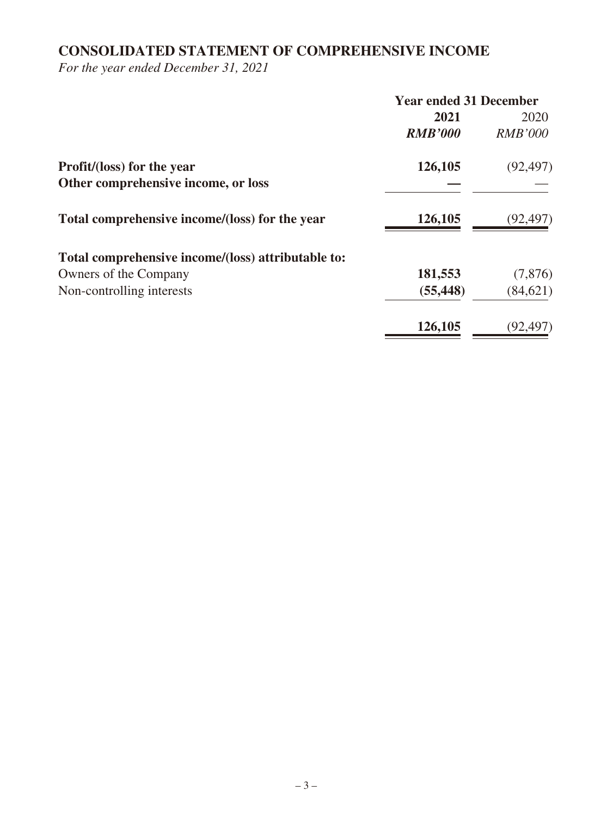# **CONSOLIDATED STATEMENT OF COMPREHENSIVE INCOME**

*For the year ended December 31, 2021*

|                                                    | <b>Year ended 31 December</b> |                |
|----------------------------------------------------|-------------------------------|----------------|
|                                                    | 2021                          | 2020           |
|                                                    | <b>RMB'000</b>                | <b>RMB'000</b> |
| <b>Profit/(loss) for the year</b>                  | 126,105                       | (92, 497)      |
| Other comprehensive income, or loss                |                               |                |
| Total comprehensive income/(loss) for the year     | 126,105                       | (92, 497)      |
| Total comprehensive income/(loss) attributable to: |                               |                |
| Owners of the Company                              | 181,553                       | (7,876)        |
| Non-controlling interests                          | (55, 448)                     | (84, 621)      |
|                                                    | 126,105                       | (92, 497)      |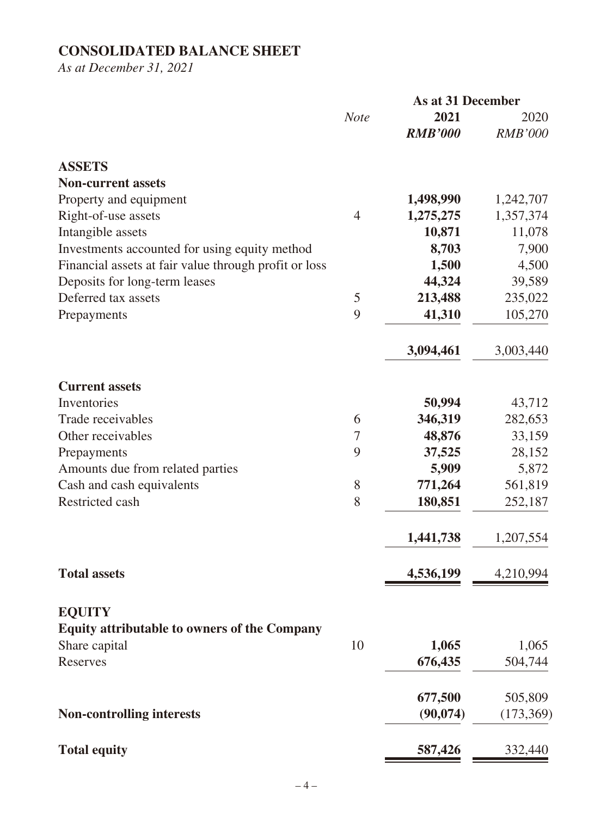# **CONSOLIDATED BALANCE SHEET**

*As at December 31, 2021*

|                                                       |                | <b>As at 31 December</b> |                |
|-------------------------------------------------------|----------------|--------------------------|----------------|
|                                                       | <b>Note</b>    | 2021                     | 2020           |
|                                                       |                | <b>RMB'000</b>           | <b>RMB'000</b> |
| <b>ASSETS</b>                                         |                |                          |                |
| <b>Non-current assets</b>                             |                |                          |                |
| Property and equipment                                |                | 1,498,990                | 1,242,707      |
| Right-of-use assets                                   | $\overline{4}$ | 1,275,275                | 1,357,374      |
| Intangible assets                                     |                | 10,871                   | 11,078         |
| Investments accounted for using equity method         |                | 8,703                    | 7,900          |
| Financial assets at fair value through profit or loss |                | 1,500                    | 4,500          |
| Deposits for long-term leases                         |                | 44,324                   | 39,589         |
| Deferred tax assets                                   | 5              | 213,488                  | 235,022        |
| Prepayments                                           | 9              | 41,310                   | 105,270        |
|                                                       |                | 3,094,461                | 3,003,440      |
| <b>Current assets</b>                                 |                |                          |                |
| Inventories                                           |                | 50,994                   | 43,712         |
| Trade receivables                                     | 6              | 346,319                  | 282,653        |
| Other receivables                                     | 7              | 48,876                   | 33,159         |
| Prepayments                                           | 9              | 37,525                   | 28,152         |
| Amounts due from related parties                      |                | 5,909                    | 5,872          |
| Cash and cash equivalents                             | 8              | 771,264                  | 561,819        |
| Restricted cash                                       | 8              | 180,851                  | 252,187        |
|                                                       |                | 1,441,738                | 1,207,554      |
| <b>Total assets</b>                                   |                | 4,536,199                | 4,210,994      |
|                                                       |                |                          |                |
| <b>EQUITY</b>                                         |                |                          |                |
| <b>Equity attributable to owners of the Company</b>   |                |                          |                |
| Share capital                                         | 10             | 1,065                    | 1,065          |
| Reserves                                              |                | 676,435                  | 504,744        |
|                                                       |                | 677,500                  | 505,809        |
| <b>Non-controlling interests</b>                      |                | (90, 074)                | (173,369)      |
| <b>Total equity</b>                                   |                | 587,426                  | 332,440        |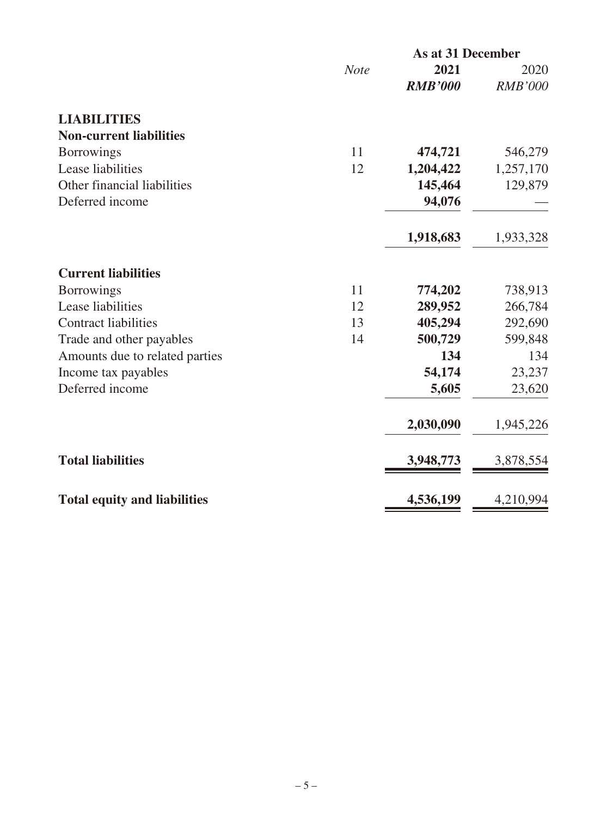|                                     |             | <b>As at 31 December</b> |                |  |
|-------------------------------------|-------------|--------------------------|----------------|--|
|                                     | <b>Note</b> | 2021                     | 2020           |  |
|                                     |             | <b>RMB'000</b>           | <b>RMB'000</b> |  |
| <b>LIABILITIES</b>                  |             |                          |                |  |
| <b>Non-current liabilities</b>      |             |                          |                |  |
| <b>Borrowings</b>                   | 11          | 474,721                  | 546,279        |  |
| Lease liabilities                   | 12          | 1,204,422                | 1,257,170      |  |
| Other financial liabilities         |             | 145,464                  | 129,879        |  |
| Deferred income                     |             | 94,076                   |                |  |
|                                     |             | 1,918,683                | 1,933,328      |  |
| <b>Current liabilities</b>          |             |                          |                |  |
| <b>Borrowings</b>                   | 11          | 774,202                  | 738,913        |  |
| Lease liabilities                   | 12          | 289,952                  | 266,784        |  |
| <b>Contract liabilities</b>         | 13          | 405,294                  | 292,690        |  |
| Trade and other payables            | 14          | 500,729                  | 599,848        |  |
| Amounts due to related parties      |             | 134                      | 134            |  |
| Income tax payables                 |             | 54,174                   | 23,237         |  |
| Deferred income                     |             | 5,605                    | 23,620         |  |
|                                     |             | 2,030,090                | 1,945,226      |  |
| <b>Total liabilities</b>            |             | 3,948,773                | 3,878,554      |  |
| <b>Total equity and liabilities</b> |             | 4,536,199                | 4,210,994      |  |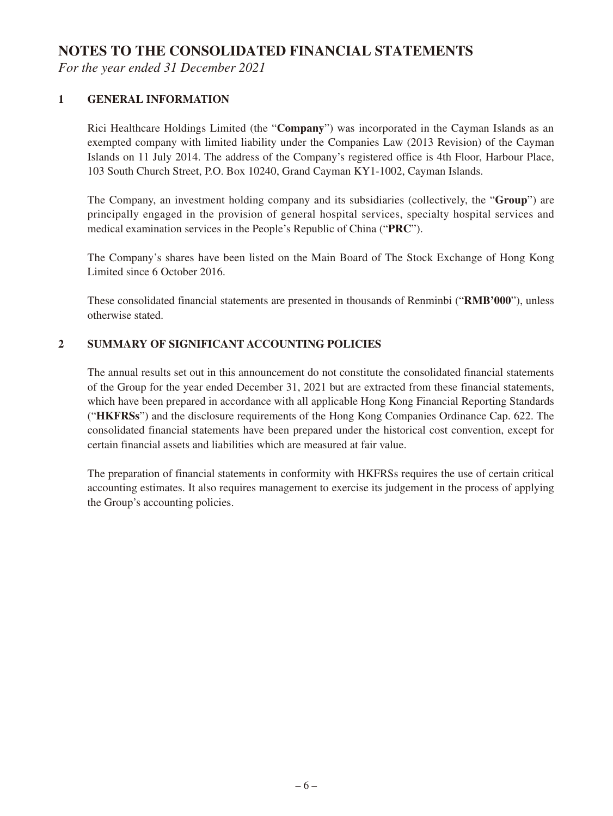## **NOTES TO THE CONSOLIDATED FINANCIAL STATEMENTS**

*For the year ended 31 December 2021*

#### **1 GENERAL INFORMATION**

Rici Healthcare Holdings Limited (the "**Company**") was incorporated in the Cayman Islands as an exempted company with limited liability under the Companies Law (2013 Revision) of the Cayman Islands on 11 July 2014. The address of the Company's registered office is 4th Floor, Harbour Place, 103 South Church Street, P.O. Box 10240, Grand Cayman KY1-1002, Cayman Islands.

The Company, an investment holding company and its subsidiaries (collectively, the "**Group**") are principally engaged in the provision of general hospital services, specialty hospital services and medical examination services in the People's Republic of China ("**PRC**").

The Company's shares have been listed on the Main Board of The Stock Exchange of Hong Kong Limited since 6 October 2016.

These consolidated financial statements are presented in thousands of Renminbi ("**RMB'000**"), unless otherwise stated.

#### **2 SUMMARY OF SIGNIFICANT ACCOUNTING POLICIES**

The annual results set out in this announcement do not constitute the consolidated financial statements of the Group for the year ended December 31, 2021 but are extracted from these financial statements, which have been prepared in accordance with all applicable Hong Kong Financial Reporting Standards ("**HKFRSs**") and the disclosure requirements of the Hong Kong Companies Ordinance Cap. 622. The consolidated financial statements have been prepared under the historical cost convention, except for certain financial assets and liabilities which are measured at fair value.

The preparation of financial statements in conformity with HKFRSs requires the use of certain critical accounting estimates. It also requires management to exercise its judgement in the process of applying the Group's accounting policies.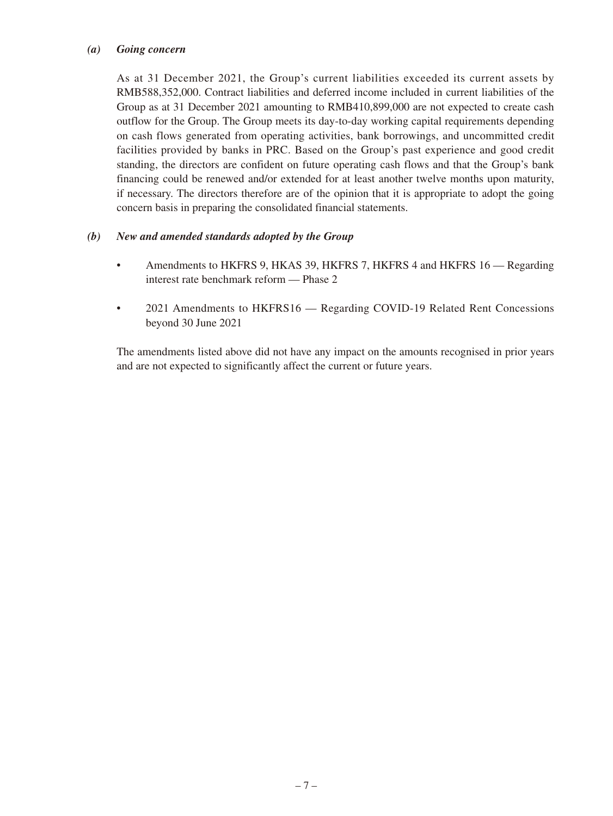#### *(a) Going concern*

As at 31 December 2021, the Group's current liabilities exceeded its current assets by RMB588,352,000. Contract liabilities and deferred income included in current liabilities of the Group as at 31 December 2021 amounting to RMB410,899,000 are not expected to create cash outflow for the Group. The Group meets its day-to-day working capital requirements depending on cash flows generated from operating activities, bank borrowings, and uncommitted credit facilities provided by banks in PRC. Based on the Group's past experience and good credit standing, the directors are confident on future operating cash flows and that the Group's bank financing could be renewed and/or extended for at least another twelve months upon maturity, if necessary. The directors therefore are of the opinion that it is appropriate to adopt the going concern basis in preparing the consolidated financial statements.

#### *(b) New and amended standards adopted by the Group*

- Amendments to HKFRS 9, HKAS 39, HKFRS 7, HKFRS 4 and HKFRS 16 Regarding interest rate benchmark reform — Phase 2
- 2021 Amendments to HKFRS16 Regarding COVID-19 Related Rent Concessions beyond 30 June 2021

The amendments listed above did not have any impact on the amounts recognised in prior years and are not expected to significantly affect the current or future years.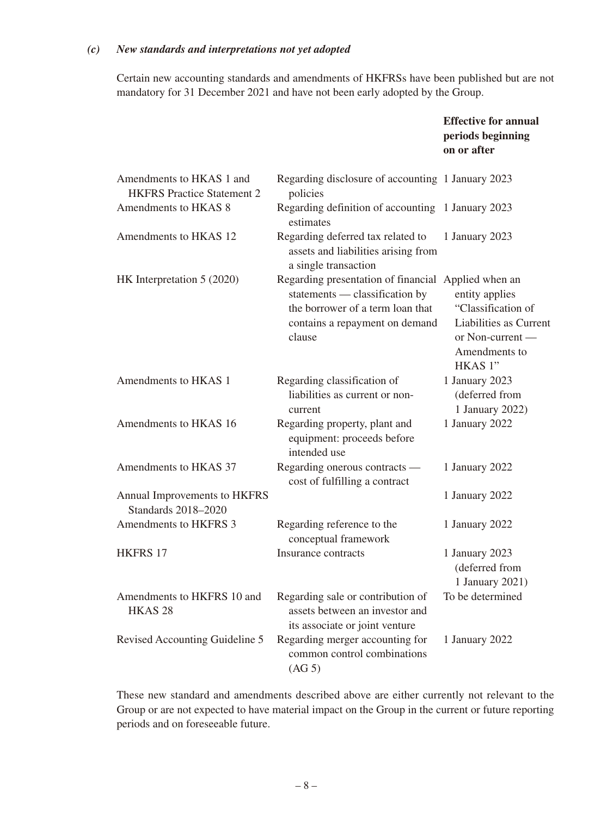#### *(c) New standards and interpretations not yet adopted*

Certain new accounting standards and amendments of HKFRSs have been published but are not mandatory for 31 December 2021 and have not been early adopted by the Group.

|                                                               |                                                                                                                                                       | <b>Effective for annual</b><br>periods beginning<br>on or after                                                                              |
|---------------------------------------------------------------|-------------------------------------------------------------------------------------------------------------------------------------------------------|----------------------------------------------------------------------------------------------------------------------------------------------|
| Amendments to HKAS 1 and<br><b>HKFRS</b> Practice Statement 2 | Regarding disclosure of accounting 1 January 2023<br>policies                                                                                         |                                                                                                                                              |
| Amendments to HKAS 8                                          | Regarding definition of accounting 1 January 2023<br>estimates                                                                                        |                                                                                                                                              |
| Amendments to HKAS 12                                         | Regarding deferred tax related to<br>assets and liabilities arising from<br>a single transaction                                                      | 1 January 2023                                                                                                                               |
| HK Interpretation 5 (2020)                                    | Regarding presentation of financial<br>statements — classification by<br>the borrower of a term loan that<br>contains a repayment on demand<br>clause | Applied when an<br>entity applies<br>"Classification of<br>Liabilities as Current<br>or Non-current -<br>Amendments to<br>HKAS <sup>1"</sup> |
| Amendments to HKAS 1                                          | Regarding classification of<br>liabilities as current or non-<br>current                                                                              | 1 January 2023<br>(deferred from<br>1 January 2022)                                                                                          |
| Amendments to HKAS 16                                         | Regarding property, plant and<br>equipment: proceeds before<br>intended use                                                                           | 1 January 2022                                                                                                                               |
| Amendments to HKAS 37                                         | Regarding onerous contracts —<br>cost of fulfilling a contract                                                                                        | 1 January 2022                                                                                                                               |
| Annual Improvements to HKFRS<br><b>Standards 2018-2020</b>    |                                                                                                                                                       | 1 January 2022                                                                                                                               |
| Amendments to HKFRS 3                                         | Regarding reference to the<br>conceptual framework                                                                                                    | 1 January 2022                                                                                                                               |
| <b>HKFRS 17</b>                                               | Insurance contracts                                                                                                                                   | 1 January 2023<br>(deferred from<br>1 January 2021)                                                                                          |
| Amendments to HKFRS 10 and<br>HKAS <sub>28</sub>              | Regarding sale or contribution of<br>assets between an investor and<br>its associate or joint venture                                                 | To be determined                                                                                                                             |
| Revised Accounting Guideline 5                                | Regarding merger accounting for<br>common control combinations<br>(AG 5)                                                                              | 1 January 2022                                                                                                                               |

These new standard and amendments described above are either currently not relevant to the Group or are not expected to have material impact on the Group in the current or future reporting periods and on foreseeable future.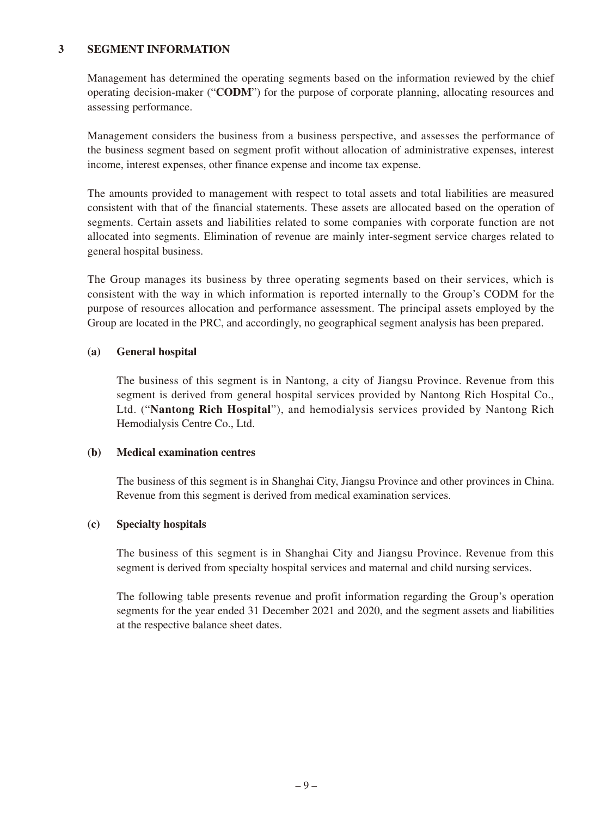#### **3 SEGMENT INFORMATION**

Management has determined the operating segments based on the information reviewed by the chief operating decision-maker ("**CODM**") for the purpose of corporate planning, allocating resources and assessing performance.

Management considers the business from a business perspective, and assesses the performance of the business segment based on segment profit without allocation of administrative expenses, interest income, interest expenses, other finance expense and income tax expense.

The amounts provided to management with respect to total assets and total liabilities are measured consistent with that of the financial statements. These assets are allocated based on the operation of segments. Certain assets and liabilities related to some companies with corporate function are not allocated into segments. Elimination of revenue are mainly inter-segment service charges related to general hospital business.

The Group manages its business by three operating segments based on their services, which is consistent with the way in which information is reported internally to the Group's CODM for the purpose of resources allocation and performance assessment. The principal assets employed by the Group are located in the PRC, and accordingly, no geographical segment analysis has been prepared.

#### **(a) General hospital**

The business of this segment is in Nantong, a city of Jiangsu Province. Revenue from this segment is derived from general hospital services provided by Nantong Rich Hospital Co., Ltd. ("**Nantong Rich Hospital**"), and hemodialysis services provided by Nantong Rich Hemodialysis Centre Co., Ltd.

#### **(b) Medical examination centres**

The business of this segment is in Shanghai City, Jiangsu Province and other provinces in China. Revenue from this segment is derived from medical examination services.

#### **(c) Specialty hospitals**

The business of this segment is in Shanghai City and Jiangsu Province. Revenue from this segment is derived from specialty hospital services and maternal and child nursing services.

The following table presents revenue and profit information regarding the Group's operation segments for the year ended 31 December 2021 and 2020, and the segment assets and liabilities at the respective balance sheet dates.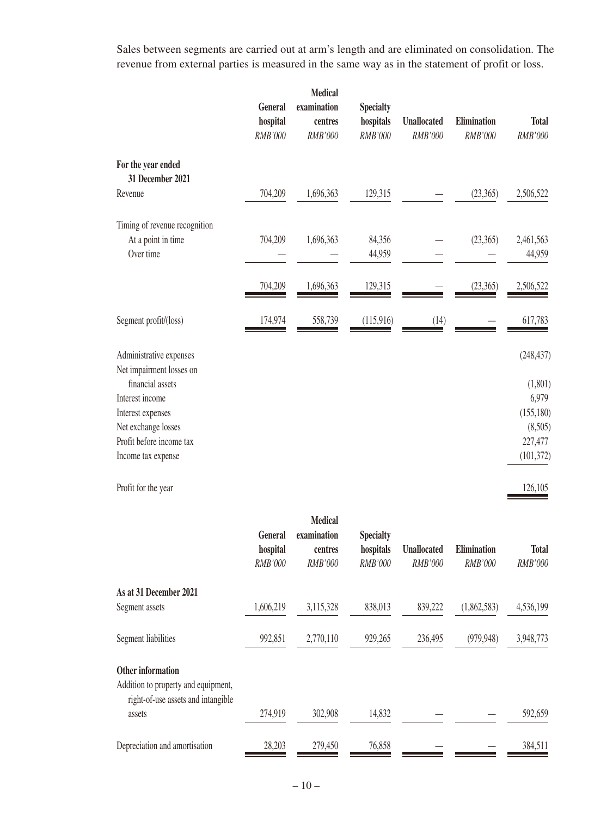Sales between segments are carried out at arm's length and are eliminated on consolidation. The revenue from external parties is measured in the same way as in the statement of profit or loss.

|                                        | General<br>hospital<br>RMB'000 | <b>Medical</b><br>examination<br>centres<br>RMB'000 | <b>Specialty</b><br>hospitals<br>RMB'000 | <b>Unallocated</b><br>RMB'000 | Elimination<br>RMB'000 | <b>Total</b><br>RMB'000 |
|----------------------------------------|--------------------------------|-----------------------------------------------------|------------------------------------------|-------------------------------|------------------------|-------------------------|
| For the year ended<br>31 December 2021 |                                |                                                     |                                          |                               |                        |                         |
| Revenue                                | 704,209                        | 1,696,363                                           | 129,315                                  |                               | (23, 365)              | 2,506,522               |
| Timing of revenue recognition          |                                |                                                     |                                          |                               |                        |                         |
| At a point in time                     | 704,209                        | 1,696,363                                           | 84,356                                   |                               | (23,365)               | 2,461,563               |
| Over time                              |                                |                                                     | 44,959                                   |                               |                        | 44,959                  |
|                                        | 704,209                        | 1,696,363                                           | 129,315                                  |                               | (23, 365)              | 2,506,522               |
| Segment profit/(loss)                  | 174,974                        | 558,739                                             | (115,916)                                | (14)                          |                        | 617,783                 |
| Administrative expenses                |                                |                                                     |                                          |                               |                        | (248, 437)              |
| Net impairment losses on               |                                |                                                     |                                          |                               |                        |                         |
| financial assets<br>Interest income    |                                |                                                     |                                          |                               |                        | (1,801)<br>6,979        |
| Interest expenses                      |                                |                                                     |                                          |                               |                        | (155, 180)              |
| Net exchange losses                    |                                |                                                     |                                          |                               |                        | (8,505)                 |
| Profit before income tax               |                                |                                                     |                                          |                               |                        | 227,477                 |
| Income tax expense                     |                                |                                                     |                                          |                               |                        | (101, 372)              |
| Profit for the year                    |                                |                                                     |                                          |                               |                        | 126,105                 |

|                                                                           | <b>General</b><br>hospital<br><b>RMB'000</b> | <b>Medical</b><br>examination<br>centres<br><b>RMB'000</b> | <b>Specialty</b><br>hospitals<br><i>RMB'000</i> | <b>Unallocated</b><br>RMB'000 | <b>Elimination</b><br>RMB'000 | <b>Total</b><br>RMB'000 |
|---------------------------------------------------------------------------|----------------------------------------------|------------------------------------------------------------|-------------------------------------------------|-------------------------------|-------------------------------|-------------------------|
| As at 31 December 2021                                                    |                                              |                                                            |                                                 |                               |                               |                         |
| Segment assets                                                            | 1,606,219                                    | 3,115,328                                                  | 838,013                                         | 839,222                       | (1,862,583)                   | 4,536,199               |
| Segment liabilities                                                       | 992,851                                      | 2,770,110                                                  | 929,265                                         | 236,495                       | (979, 948)                    | 3,948,773               |
| <b>Other information</b>                                                  |                                              |                                                            |                                                 |                               |                               |                         |
| Addition to property and equipment,<br>right-of-use assets and intangible |                                              |                                                            |                                                 |                               |                               |                         |
| assets                                                                    | 274,919                                      | 302,908                                                    | 14,832                                          |                               |                               | 592,659                 |
| Depreciation and amortisation                                             | 28,203                                       | 279,450                                                    | 76,858                                          |                               |                               | 384,511                 |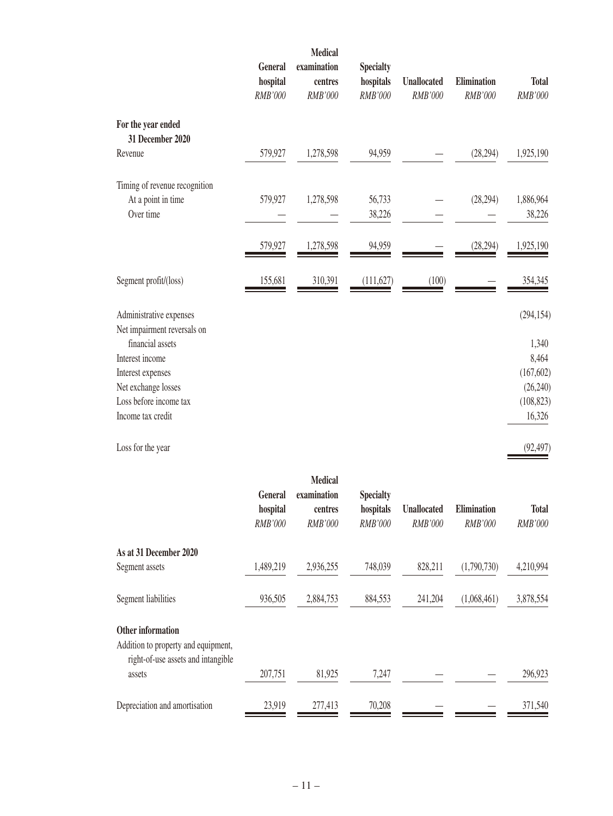|                                                        | General<br>hospital | <b>Medical</b><br>examination<br>centres | <b>Specialty</b><br>hospitals | <b>Unallocated</b> | Elimination | <b>Total</b> |
|--------------------------------------------------------|---------------------|------------------------------------------|-------------------------------|--------------------|-------------|--------------|
|                                                        | RMB'000             | RMB'000                                  | RMB'000                       | RMB'000            | RMB'000     | RMB'000      |
| For the year ended<br>31 December 2020                 |                     |                                          |                               |                    |             |              |
| Revenue                                                | 579,927             | 1,278,598                                | 94,959                        |                    | (28, 294)   | 1,925,190    |
| Timing of revenue recognition                          |                     |                                          |                               |                    |             |              |
| At a point in time                                     | 579,927             | 1,278,598                                | 56,733                        |                    | (28, 294)   | 1,886,964    |
| Over time                                              |                     |                                          | 38,226                        |                    |             | 38,226       |
|                                                        | 579,927             | 1,278,598                                | 94,959                        |                    | (28, 294)   | 1,925,190    |
| Segment profit/(loss)                                  | 155,681             | 310,391                                  | (111, 627)                    | (100)              |             | 354,345      |
| Administrative expenses<br>Net impairment reversals on |                     |                                          |                               |                    |             | (294, 154)   |
| financial assets                                       |                     |                                          |                               |                    |             | 1,340        |
| Interest income                                        |                     |                                          |                               |                    |             | 8,464        |
| Interest expenses                                      |                     |                                          |                               |                    |             | (167, 602)   |
| Net exchange losses                                    |                     |                                          |                               |                    |             | (26,240)     |
| Loss before income tax                                 |                     |                                          |                               |                    |             | (108, 823)   |
| Income tax credit                                      |                     |                                          |                               |                    |             | 16,326       |
| Loss for the year                                      |                     |                                          |                               |                    |             | (92, 497)    |

|                                              | <b>General</b><br>hospital<br><b>RMB'000</b> | <b>Medical</b><br>examination<br>centres<br>RMB'000 | <b>Specialty</b><br>hospitals<br>RMB'000 | <b>Unallocated</b><br>RMB'000 | <b>Elimination</b><br>RMB'000 | <b>Total</b><br>RMB'000 |
|----------------------------------------------|----------------------------------------------|-----------------------------------------------------|------------------------------------------|-------------------------------|-------------------------------|-------------------------|
| As at 31 December 2020                       |                                              |                                                     |                                          |                               |                               |                         |
| Segment assets                               | 1,489,219                                    | 2,936,255                                           | 748,039                                  | 828,211                       | (1,790,730)                   | 4,210,994               |
| Segment liabilities                          | 936,505                                      | 2,884,753                                           | 884,553                                  | 241,204                       | (1,068,461)                   | 3,878,554               |
| Other information                            |                                              |                                                     |                                          |                               |                               |                         |
| Addition to property and equipment,          |                                              |                                                     |                                          |                               |                               |                         |
| right-of-use assets and intangible<br>assets | 207,751                                      | 81,925                                              | 7,247                                    |                               |                               | 296,923                 |
| Depreciation and amortisation                | 23,919                                       | 277,413                                             | 70,208                                   |                               |                               | 371,540                 |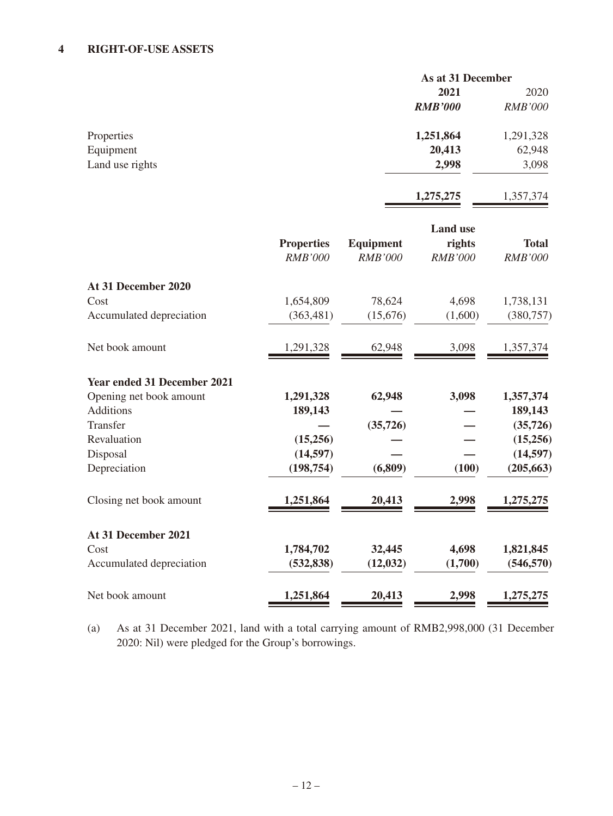#### **4 RIGHT-OF-USE ASSETS**

|                 |                | As at 31 December |  |  |
|-----------------|----------------|-------------------|--|--|
|                 | 2021           | 2020              |  |  |
|                 | <b>RMB'000</b> | <b>RMB'000</b>    |  |  |
| Properties      | 1,251,864      | 1,291,328         |  |  |
| Equipment       | 20,413         | 62,948            |  |  |
| Land use rights | 2,998          | 3,098             |  |  |
|                 |                |                   |  |  |

**1,275,275** 1,357,374

|                                    | <b>Properties</b><br><b>RMB'000</b> | <b>Equipment</b><br><b>RMB'000</b> | <b>Land use</b><br>rights<br><b>RMB'000</b> | <b>Total</b><br><b>RMB'000</b> |
|------------------------------------|-------------------------------------|------------------------------------|---------------------------------------------|--------------------------------|
| At 31 December 2020                |                                     |                                    |                                             |                                |
| Cost                               | 1,654,809                           | 78,624                             | 4,698                                       | 1,738,131                      |
| Accumulated depreciation           | (363, 481)                          | (15,676)                           | (1,600)                                     | (380, 757)                     |
| Net book amount                    | 1,291,328                           | 62,948                             | 3,098                                       | 1,357,374                      |
| <b>Year ended 31 December 2021</b> |                                     |                                    |                                             |                                |
| Opening net book amount            | 1,291,328                           | 62,948                             | 3,098                                       | 1,357,374                      |
| <b>Additions</b>                   | 189,143                             |                                    |                                             | 189,143                        |
| Transfer                           |                                     | (35, 726)                          |                                             | (35, 726)                      |
| Revaluation                        | (15,256)                            |                                    |                                             | (15,256)                       |
| Disposal                           | (14, 597)                           |                                    |                                             | (14, 597)                      |
| Depreciation                       | (198, 754)                          | (6,809)                            | (100)                                       | (205, 663)                     |
| Closing net book amount            | 1,251,864                           | 20,413                             | 2,998                                       | 1,275,275                      |
| At 31 December 2021                |                                     |                                    |                                             |                                |
| Cost                               | 1,784,702                           | 32,445                             | 4,698                                       | 1,821,845                      |
| Accumulated depreciation           | (532, 838)                          | (12, 032)                          | (1,700)                                     | (546, 570)                     |
| Net book amount                    | 1,251,864                           | 20,413                             | 2,998                                       | 1,275,275                      |

(a) As at 31 December 2021, land with a total carrying amount of RMB2,998,000 (31 December 2020: Nil) were pledged for the Group's borrowings.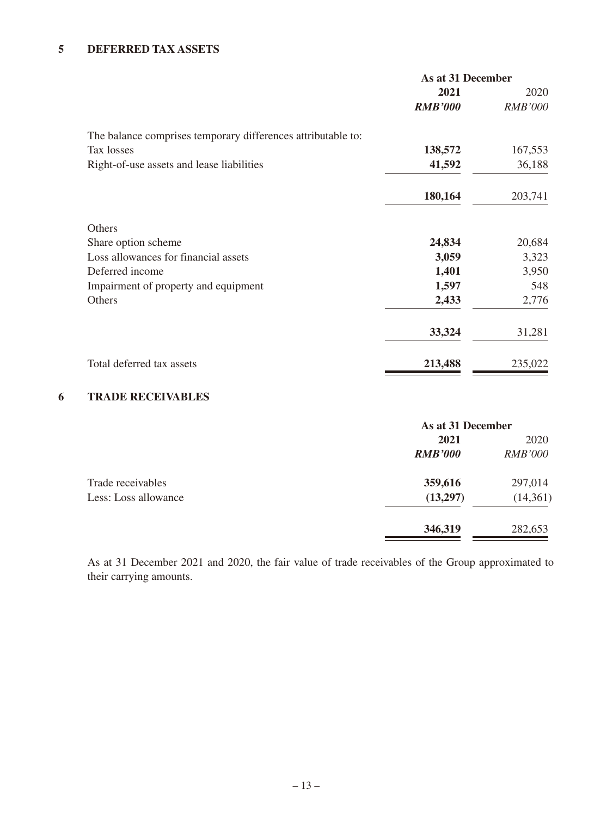### **5 DEFERRED TAX ASSETS**

|                                                              | As at 31 December |                |
|--------------------------------------------------------------|-------------------|----------------|
|                                                              | 2021              | 2020           |
|                                                              | <b>RMB'000</b>    | <b>RMB'000</b> |
| The balance comprises temporary differences attributable to: |                   |                |
| Tax losses                                                   | 138,572           | 167,553        |
| Right-of-use assets and lease liabilities                    | 41,592            | 36,188         |
|                                                              | 180,164           | 203,741        |
| Others                                                       |                   |                |
| Share option scheme                                          | 24,834            | 20,684         |
| Loss allowances for financial assets                         | 3,059             | 3,323          |
| Deferred income                                              | 1,401             | 3,950          |
| Impairment of property and equipment                         | 1,597             | 548            |
| Others                                                       | 2,433             | 2,776          |
|                                                              | 33,324            | 31,281         |
| Total deferred tax assets                                    | 213,488           | 235,022        |
|                                                              |                   |                |

#### **6 TRADE RECEIVABLES**

|                      | As at 31 December |                |
|----------------------|-------------------|----------------|
|                      | 2021              | 2020           |
|                      | <b>RMB'000</b>    | <b>RMB'000</b> |
| Trade receivables    | 359,616           | 297,014        |
| Less: Loss allowance | (13,297)          | (14,361)       |
|                      | 346,319           | 282,653        |

As at 31 December 2021 and 2020, the fair value of trade receivables of the Group approximated to their carrying amounts.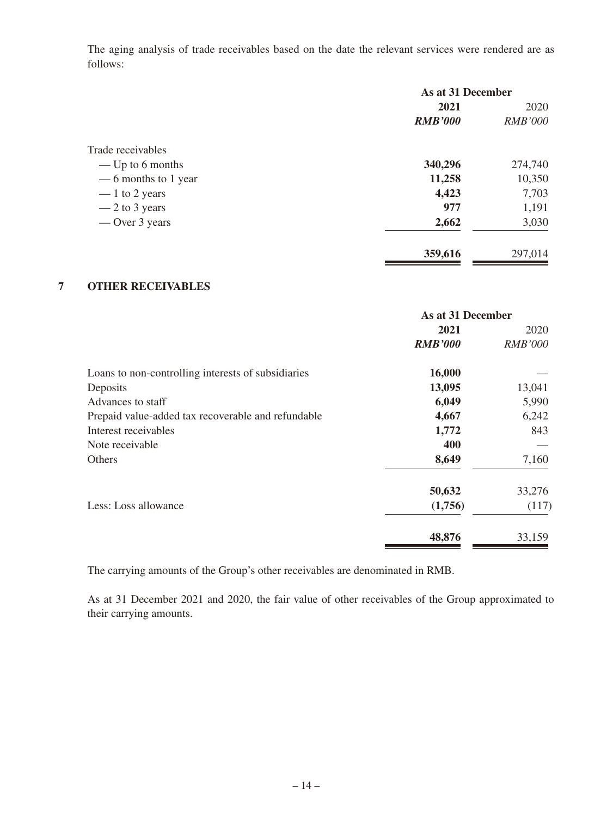The aging analysis of trade receivables based on the date the relevant services were rendered are as follows:

|                      | As at 31 December |                |
|----------------------|-------------------|----------------|
|                      | 2021              | 2020           |
|                      | <b>RMB'000</b>    | <i>RMB'000</i> |
| Trade receivables    |                   |                |
| — Up to 6 months     | 340,296           | 274,740        |
| — 6 months to 1 year | 11,258            | 10,350         |
| $-1$ to 2 years      | 4,423             | 7,703          |
| $-2$ to 3 years      | 977               | 1,191          |
| — Over 3 years       | 2,662             | 3,030          |
|                      | 359,616           | 297,014        |

#### **7 OTHER RECEIVABLES**

|                                                    | As at 31 December |                |
|----------------------------------------------------|-------------------|----------------|
|                                                    | 2021              | 2020           |
|                                                    | <b>RMB'000</b>    | <i>RMB'000</i> |
| Loans to non-controlling interests of subsidiaries | 16,000            |                |
| Deposits                                           | 13,095            | 13,041         |
| Advances to staff                                  | 6,049             | 5,990          |
| Prepaid value-added tax recoverable and refundable | 4,667             | 6,242          |
| Interest receivables                               | 1,772             | 843            |
| Note receivable                                    | 400               |                |
| Others                                             | 8,649             | 7,160          |
|                                                    | 50,632            | 33,276         |
| Less: Loss allowance                               | (1,756)           | (117)          |
|                                                    | 48,876            | 33,159         |

The carrying amounts of the Group's other receivables are denominated in RMB.

As at 31 December 2021 and 2020, the fair value of other receivables of the Group approximated to their carrying amounts.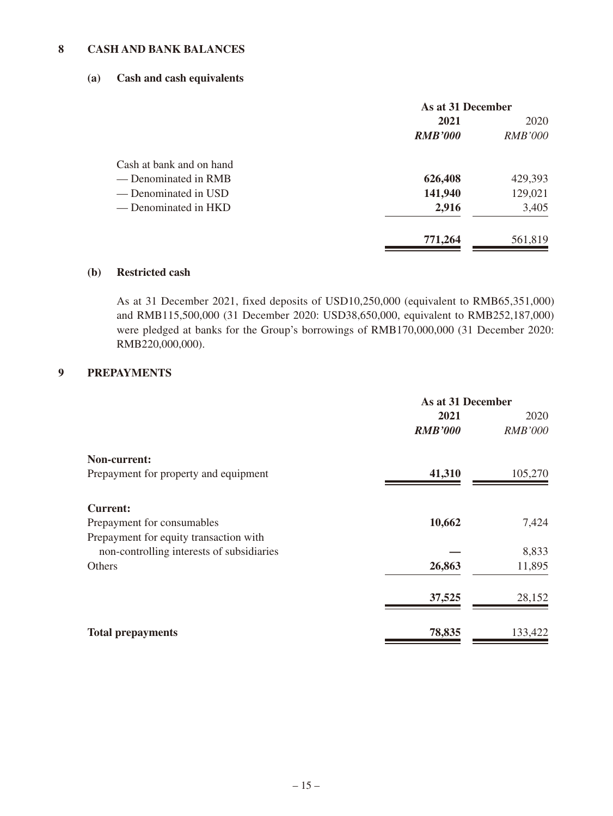#### **8 CASH AND BANK BALANCES**

#### **(a) Cash and cash equivalents**

|                          | As at 31 December |                |
|--------------------------|-------------------|----------------|
|                          | 2021              | 2020           |
|                          | <b>RMB'000</b>    | <i>RMB'000</i> |
| Cash at bank and on hand |                   |                |
| — Denominated in RMB     | 626,408           | 429,393        |
| — Denominated in USD     | 141,940           | 129,021        |
| — Denominated in HKD     | 2,916             | 3,405          |
|                          | 771,264           | 561,819        |

#### **(b) Restricted cash**

As at 31 December 2021, fixed deposits of USD10,250,000 (equivalent to RMB65,351,000) and RMB115,500,000 (31 December 2020: USD38,650,000, equivalent to RMB252,187,000) were pledged at banks for the Group's borrowings of RMB170,000,000 (31 December 2020: RMB220,000,000).

#### **9 PREPAYMENTS**

|                                           | As at 31 December |                |
|-------------------------------------------|-------------------|----------------|
|                                           | 2021              | 2020           |
|                                           | <b>RMB'000</b>    | <b>RMB'000</b> |
| Non-current:                              |                   |                |
| Prepayment for property and equipment     | 41,310            | 105,270        |
| <b>Current:</b>                           |                   |                |
| Prepayment for consumables                | 10,662            | 7,424          |
| Prepayment for equity transaction with    |                   |                |
| non-controlling interests of subsidiaries |                   | 8,833          |
| Others                                    | 26,863            | 11,895         |
|                                           | 37,525            | 28,152         |
| <b>Total prepayments</b>                  | 78,835            | 133,422        |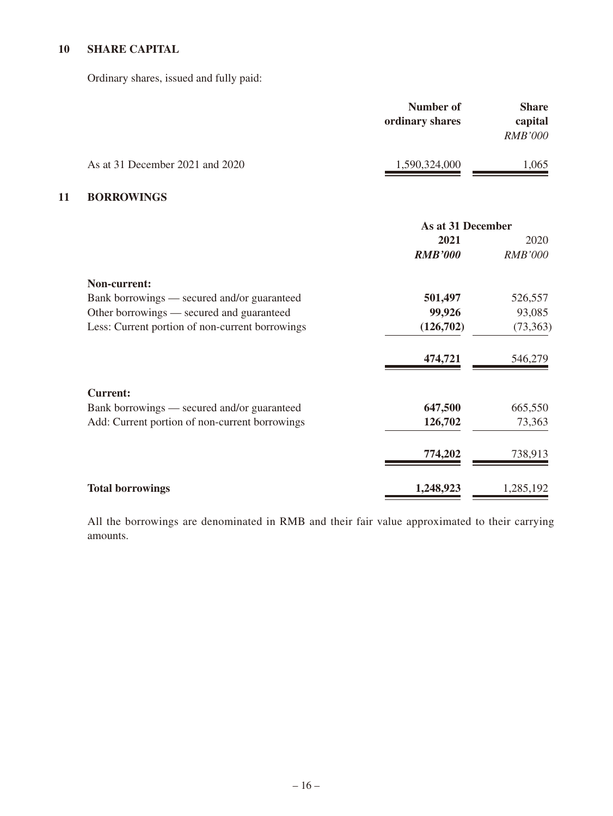### **10 SHARE CAPITAL**

Ordinary shares, issued and fully paid:

|                                 | Number of<br>ordinary shares | <b>Share</b><br>capital<br><b>RMB'000</b> |
|---------------------------------|------------------------------|-------------------------------------------|
| As at 31 December 2021 and 2020 | 1,590,324,000                | 1,065                                     |

#### **11 BORROWINGS**

|                                                 | As at 31 December |                |
|-------------------------------------------------|-------------------|----------------|
|                                                 | 2021              | 2020           |
|                                                 | <b>RMB'000</b>    | <b>RMB'000</b> |
| Non-current:                                    |                   |                |
| Bank borrowings — secured and/or guaranteed     | 501,497           | 526,557        |
| Other borrowings — secured and guaranteed       | 99,926            | 93,085         |
| Less: Current portion of non-current borrowings | (126,702)         | (73,363)       |
|                                                 | 474,721           | 546,279        |
| <b>Current:</b>                                 |                   |                |
| Bank borrowings — secured and/or guaranteed     | 647,500           | 665,550        |
| Add: Current portion of non-current borrowings  | 126,702           | 73,363         |
|                                                 | 774,202           | 738,913        |
| <b>Total borrowings</b>                         | 1,248,923         | 1,285,192      |

All the borrowings are denominated in RMB and their fair value approximated to their carrying amounts.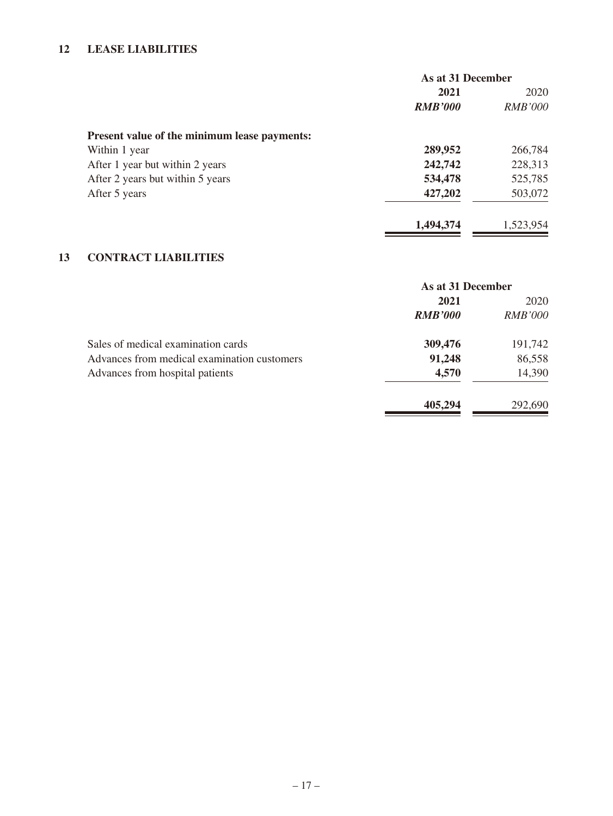#### **12 LEASE LIABILITIES**

|                                              | As at 31 December |                |
|----------------------------------------------|-------------------|----------------|
|                                              | 2021              | 2020           |
|                                              | <b>RMB'000</b>    | <b>RMB'000</b> |
| Present value of the minimum lease payments: |                   |                |
| Within 1 year                                | 289,952           | 266,784        |
| After 1 year but within 2 years              | 242,742           | 228,313        |
| After 2 years but within 5 years             | 534,478           | 525,785        |
| After 5 years                                | 427,202           | 503,072        |
|                                              | 1.494.374         | 1,523,954      |

### **13 CONTRACT LIABILITIES**

|                                             | As at 31 December |                |
|---------------------------------------------|-------------------|----------------|
|                                             | 2021              | 2020           |
|                                             | <b>RMB'000</b>    | <i>RMB'000</i> |
| Sales of medical examination cards          | 309,476           | 191,742        |
| Advances from medical examination customers | 91,248            | 86,558         |
| Advances from hospital patients             | 4,570             | 14,390         |
|                                             | 405,294           | 292,690        |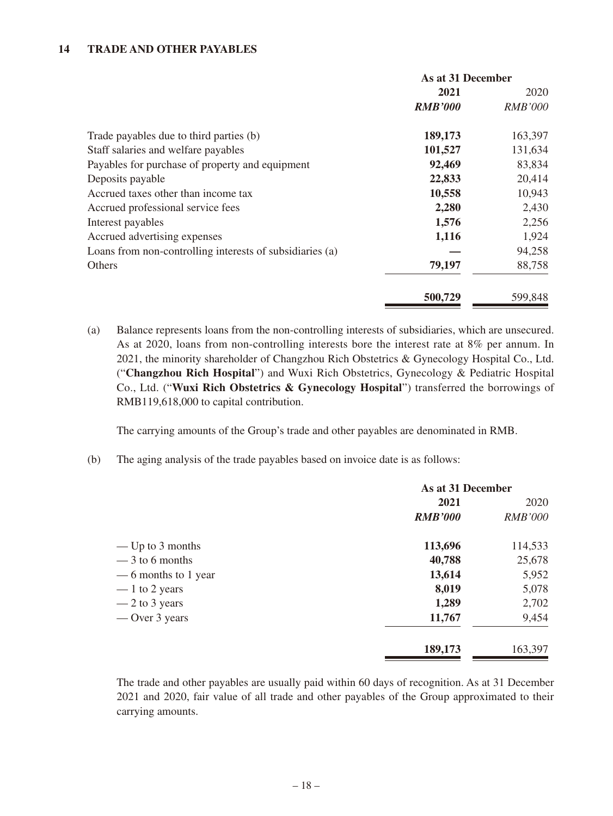#### **14 TRADE AND OTHER PAYABLES**

|                                                          | As at 31 December |                |
|----------------------------------------------------------|-------------------|----------------|
|                                                          | 2021              | 2020           |
|                                                          | <b>RMB'000</b>    | <b>RMB'000</b> |
| Trade payables due to third parties (b)                  | 189,173           | 163,397        |
| Staff salaries and welfare payables                      | 101,527           | 131,634        |
| Payables for purchase of property and equipment          | 92,469            | 83,834         |
| Deposits payable                                         | 22,833            | 20,414         |
| Accrued taxes other than income tax                      | 10,558            | 10,943         |
| Accrued professional service fees                        | 2,280             | 2,430          |
| Interest payables                                        | 1,576             | 2,256          |
| Accrued advertising expenses                             | 1,116             | 1,924          |
| Loans from non-controlling interests of subsidiaries (a) |                   | 94,258         |
| Others                                                   | 79,197            | 88,758         |
|                                                          | 500,729           | 599,848        |

(a) Balance represents loans from the non-controlling interests of subsidiaries, which are unsecured. As at 2020, loans from non-controlling interests bore the interest rate at 8% per annum. In 2021, the minority shareholder of Changzhou Rich Obstetrics & Gynecology Hospital Co., Ltd. ("**Changzhou Rich Hospital**") and Wuxi Rich Obstetrics, Gynecology & Pediatric Hospital Co., Ltd. ("**Wuxi Rich Obstetrics & Gynecology Hospital**") transferred the borrowings of RMB119,618,000 to capital contribution.

The carrying amounts of the Group's trade and other payables are denominated in RMB.

(b) The aging analysis of the trade payables based on invoice date is as follows:

|                      | As at 31 December |                |
|----------------------|-------------------|----------------|
|                      | 2021              | 2020           |
|                      | <b>RMB'000</b>    | <b>RMB'000</b> |
| — Up to $3$ months   | 113,696           | 114,533        |
| $-3$ to 6 months     | 40,788            | 25,678         |
| — 6 months to 1 year | 13,614            | 5,952          |
| $-1$ to 2 years      | 8,019             | 5,078          |
| $-2$ to 3 years      | 1,289             | 2,702          |
| — Over 3 years       | 11,767            | 9,454          |
|                      | 189,173           | 163,397        |

The trade and other payables are usually paid within 60 days of recognition. As at 31 December 2021 and 2020, fair value of all trade and other payables of the Group approximated to their carrying amounts.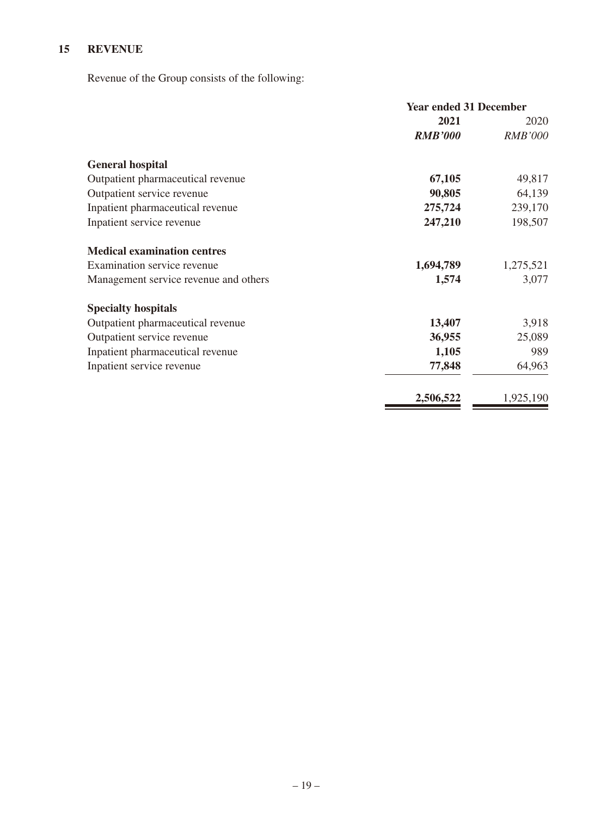## **15 REVENUE**

Revenue of the Group consists of the following:

|                                       | <b>Year ended 31 December</b> |                |
|---------------------------------------|-------------------------------|----------------|
|                                       | 2021                          | 2020           |
|                                       | <b>RMB'000</b>                | <b>RMB'000</b> |
| <b>General hospital</b>               |                               |                |
| Outpatient pharmaceutical revenue     | 67,105                        | 49,817         |
| Outpatient service revenue            | 90,805                        | 64,139         |
| Inpatient pharmaceutical revenue      | 275,724                       | 239,170        |
| Inpatient service revenue             | 247,210                       | 198,507        |
| <b>Medical examination centres</b>    |                               |                |
| Examination service revenue           | 1,694,789                     | 1,275,521      |
| Management service revenue and others | 1,574                         | 3,077          |
| <b>Specialty hospitals</b>            |                               |                |
| Outpatient pharmaceutical revenue     | 13,407                        | 3,918          |
| Outpatient service revenue            | 36,955                        | 25,089         |
| Inpatient pharmaceutical revenue      | 1,105                         | 989            |
| Inpatient service revenue             | 77,848                        | 64,963         |
|                                       | 2,506,522                     | 1,925,190      |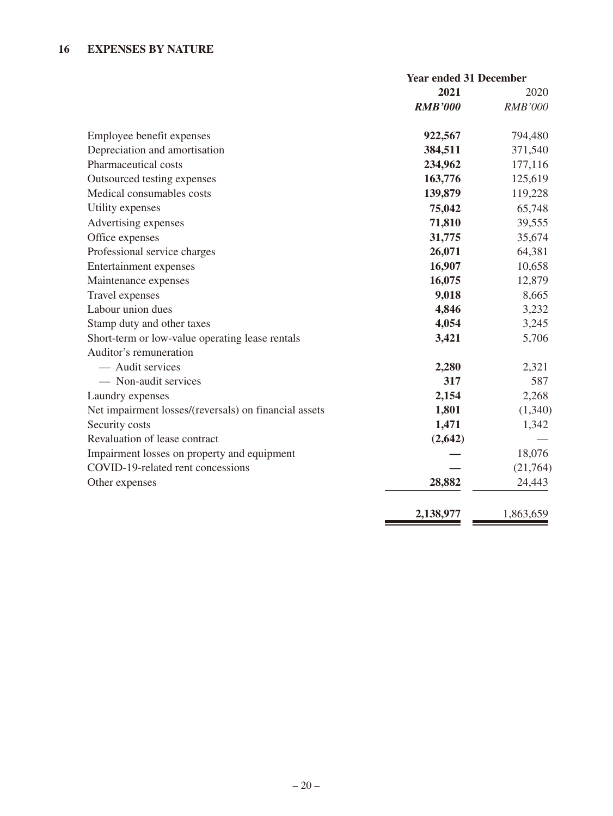|                                                       | <b>Year ended 31 December</b> |                |
|-------------------------------------------------------|-------------------------------|----------------|
|                                                       | 2021                          | 2020           |
|                                                       | <b>RMB'000</b>                | <b>RMB'000</b> |
| Employee benefit expenses                             | 922,567                       | 794,480        |
| Depreciation and amortisation                         | 384,511                       | 371,540        |
| Pharmaceutical costs                                  | 234,962                       | 177,116        |
| Outsourced testing expenses                           | 163,776                       | 125,619        |
| Medical consumables costs                             | 139,879                       | 119,228        |
| Utility expenses                                      | 75,042                        | 65,748         |
| Advertising expenses                                  | 71,810                        | 39,555         |
| Office expenses                                       | 31,775                        | 35,674         |
| Professional service charges                          | 26,071                        | 64,381         |
| <b>Entertainment expenses</b>                         | 16,907                        | 10,658         |
| Maintenance expenses                                  | 16,075                        | 12,879         |
| Travel expenses                                       | 9,018                         | 8,665          |
| Labour union dues                                     | 4,846                         | 3,232          |
| Stamp duty and other taxes                            | 4,054                         | 3,245          |
| Short-term or low-value operating lease rentals       | 3,421                         | 5,706          |
| Auditor's remuneration                                |                               |                |
| - Audit services                                      | 2,280                         | 2,321          |
| - Non-audit services                                  | 317                           | 587            |
| Laundry expenses                                      | 2,154                         | 2,268          |
| Net impairment losses/(reversals) on financial assets | 1,801                         | (1,340)        |
| Security costs                                        | 1,471                         | 1,342          |
| Revaluation of lease contract                         | (2, 642)                      |                |
| Impairment losses on property and equipment           |                               | 18,076         |
| COVID-19-related rent concessions                     |                               | (21,764)       |
| Other expenses                                        | 28,882                        | 24,443         |
|                                                       | 2,138,977                     | 1,863,659      |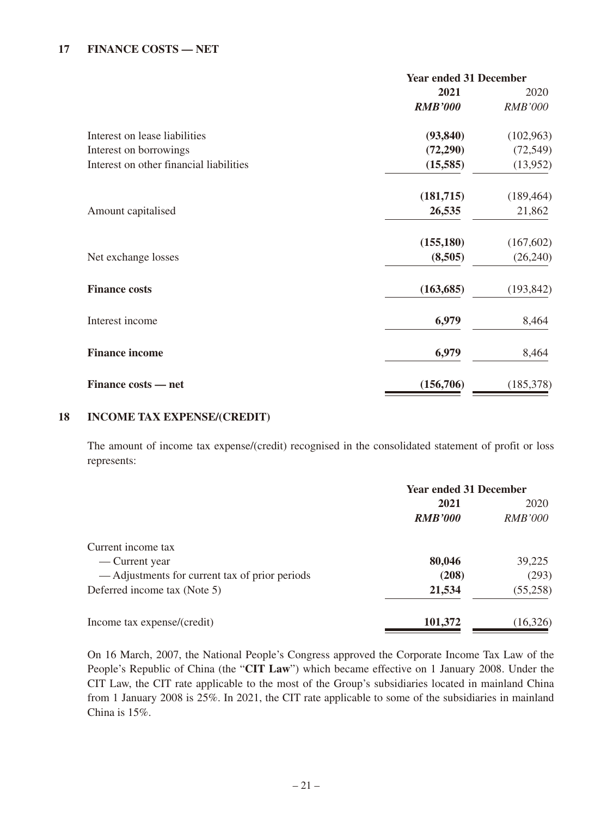#### **17 FINANCE COSTS — NET**

|                                         | <b>Year ended 31 December</b> |                |
|-----------------------------------------|-------------------------------|----------------|
|                                         | 2021                          | 2020           |
|                                         | <b>RMB'000</b>                | <b>RMB'000</b> |
| Interest on lease liabilities           | (93, 840)                     | (102,963)      |
| Interest on borrowings                  | (72, 290)                     | (72, 549)      |
| Interest on other financial liabilities | (15,585)                      | (13,952)       |
|                                         | (181,715)                     | (189, 464)     |
| Amount capitalised                      | 26,535                        | 21,862         |
|                                         | (155, 180)                    | (167,602)      |
| Net exchange losses                     | (8,505)                       | (26,240)       |
| <b>Finance costs</b>                    | (163, 685)                    | (193, 842)     |
| Interest income                         | 6,979                         | 8,464          |
| <b>Finance income</b>                   | 6,979                         | 8,464          |
| Finance costs — net                     | (156,706)                     | (185,378)      |

#### **18 INCOME TAX EXPENSE/(CREDIT)**

The amount of income tax expense/(credit) recognised in the consolidated statement of profit or loss represents:

|                                                | <b>Year ended 31 December</b> |                |
|------------------------------------------------|-------------------------------|----------------|
|                                                | 2021                          | 2020           |
|                                                | <b>RMB'000</b>                | <i>RMB'000</i> |
| Current income tax                             |                               |                |
| — Current year                                 | 80,046                        | 39,225         |
| — Adjustments for current tax of prior periods | (208)                         | (293)          |
| Deferred income tax (Note 5)                   | 21,534                        | (55,258)       |
| Income tax expense/(credit)                    | 101,372                       | (16,326)       |

On 16 March, 2007, the National People's Congress approved the Corporate Income Tax Law of the People's Republic of China (the "**CIT Law**") which became effective on 1 January 2008. Under the CIT Law, the CIT rate applicable to the most of the Group's subsidiaries located in mainland China from 1 January 2008 is 25%. In 2021, the CIT rate applicable to some of the subsidiaries in mainland China is 15%.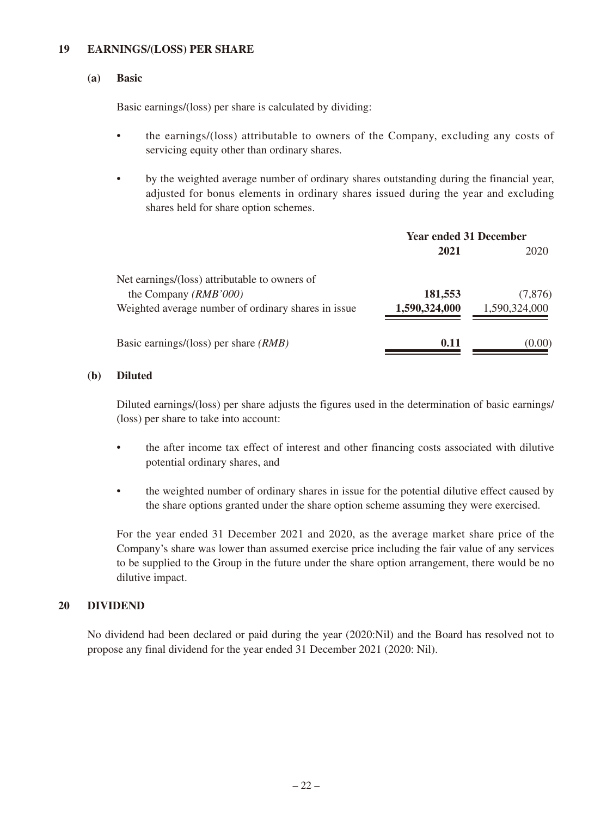#### **19 EARNINGS/(LOSS) PER SHARE**

#### **(a) Basic**

Basic earnings/(loss) per share is calculated by dividing:

- the earnings/(loss) attributable to owners of the Company, excluding any costs of servicing equity other than ordinary shares.
- by the weighted average number of ordinary shares outstanding during the financial year, adjusted for bonus elements in ordinary shares issued during the year and excluding shares held for share option schemes.

|                                                     | <b>Year ended 31 December</b> |               |
|-----------------------------------------------------|-------------------------------|---------------|
|                                                     | 2021                          | 2020          |
| Net earnings/(loss) attributable to owners of       |                               |               |
| the Company (RMB'000)                               | 181,553                       | (7,876)       |
| Weighted average number of ordinary shares in issue | 1,590,324,000                 | 1,590,324,000 |
| Basic earnings/(loss) per share $(RMB)$             | 0.11                          | (0.00)        |

#### **(b) Diluted**

Diluted earnings/(loss) per share adjusts the figures used in the determination of basic earnings/ (loss) per share to take into account:

- the after income tax effect of interest and other financing costs associated with dilutive potential ordinary shares, and
- the weighted number of ordinary shares in issue for the potential dilutive effect caused by the share options granted under the share option scheme assuming they were exercised.

For the year ended 31 December 2021 and 2020, as the average market share price of the Company's share was lower than assumed exercise price including the fair value of any services to be supplied to the Group in the future under the share option arrangement, there would be no dilutive impact.

#### **20 DIVIDEND**

No dividend had been declared or paid during the year (2020:Nil) and the Board has resolved not to propose any final dividend for the year ended 31 December 2021 (2020: Nil).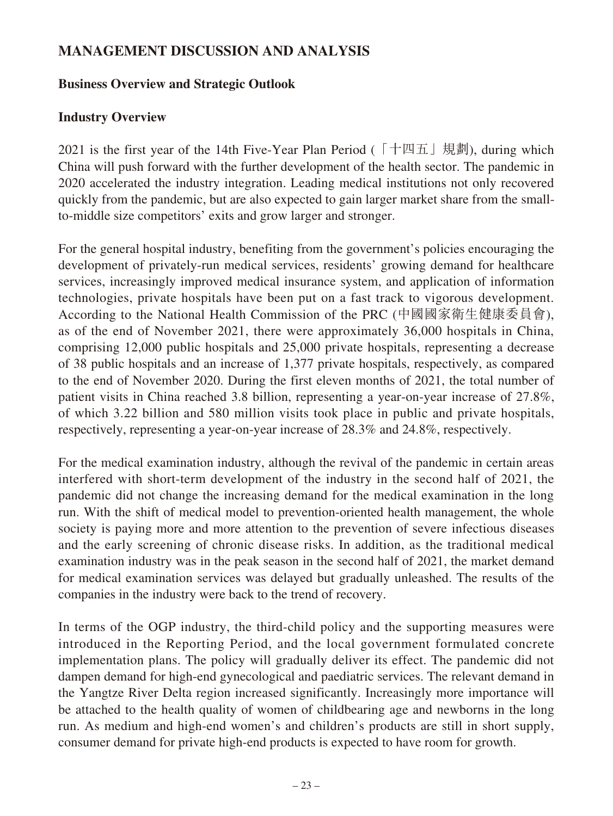# **MANAGEMENT DISCUSSION AND ANALYSIS**

### **Business Overview and Strategic Outlook**

# **Industry Overview**

2021 is the first year of the 14th Five-Year Plan Period (「十四五」規劃), during which China will push forward with the further development of the health sector. The pandemic in 2020 accelerated the industry integration. Leading medical institutions not only recovered quickly from the pandemic, but are also expected to gain larger market share from the smallto-middle size competitors' exits and grow larger and stronger.

For the general hospital industry, benefiting from the government's policies encouraging the development of privately-run medical services, residents' growing demand for healthcare services, increasingly improved medical insurance system, and application of information technologies, private hospitals have been put on a fast track to vigorous development. According to the National Health Commission of the PRC (中國國家衛生健康委員會), as of the end of November 2021, there were approximately 36,000 hospitals in China, comprising 12,000 public hospitals and 25,000 private hospitals, representing a decrease of 38 public hospitals and an increase of 1,377 private hospitals, respectively, as compared to the end of November 2020. During the first eleven months of 2021, the total number of patient visits in China reached 3.8 billion, representing a year-on-year increase of 27.8%, of which 3.22 billion and 580 million visits took place in public and private hospitals, respectively, representing a year-on-year increase of 28.3% and 24.8%, respectively.

For the medical examination industry, although the revival of the pandemic in certain areas interfered with short-term development of the industry in the second half of 2021, the pandemic did not change the increasing demand for the medical examination in the long run. With the shift of medical model to prevention-oriented health management, the whole society is paying more and more attention to the prevention of severe infectious diseases and the early screening of chronic disease risks. In addition, as the traditional medical examination industry was in the peak season in the second half of 2021, the market demand for medical examination services was delayed but gradually unleashed. The results of the companies in the industry were back to the trend of recovery.

In terms of the OGP industry, the third-child policy and the supporting measures were introduced in the Reporting Period, and the local government formulated concrete implementation plans. The policy will gradually deliver its effect. The pandemic did not dampen demand for high-end gynecological and paediatric services. The relevant demand in the Yangtze River Delta region increased significantly. Increasingly more importance will be attached to the health quality of women of childbearing age and newborns in the long run. As medium and high-end women's and children's products are still in short supply, consumer demand for private high-end products is expected to have room for growth.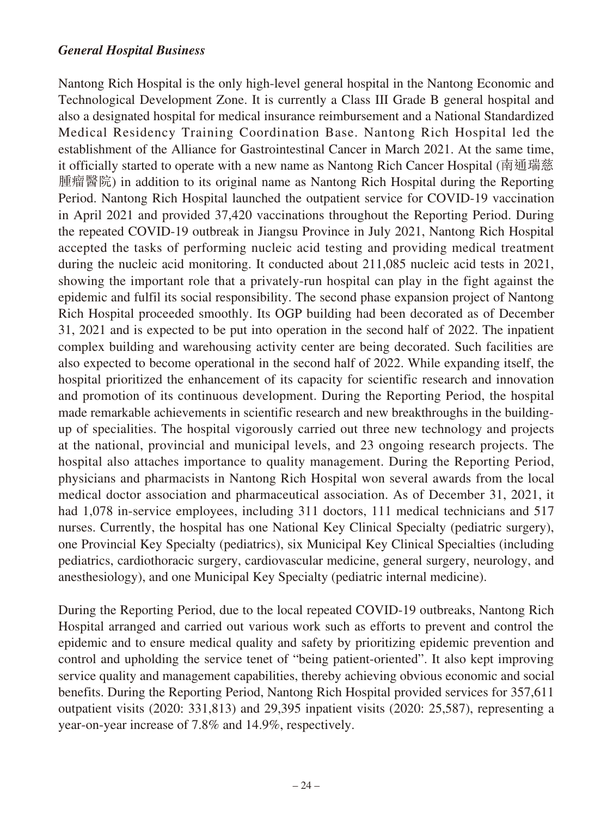#### *General Hospital Business*

Nantong Rich Hospital is the only high-level general hospital in the Nantong Economic and Technological Development Zone. It is currently a Class III Grade B general hospital and also a designated hospital for medical insurance reimbursement and a National Standardized Medical Residency Training Coordination Base. Nantong Rich Hospital led the establishment of the Alliance for Gastrointestinal Cancer in March 2021. At the same time, it officially started to operate with a new name as Nantong Rich Cancer Hospital (南通瑞慈 腫瘤醫院) in addition to its original name as Nantong Rich Hospital during the Reporting Period. Nantong Rich Hospital launched the outpatient service for COVID-19 vaccination in April 2021 and provided 37,420 vaccinations throughout the Reporting Period. During the repeated COVID-19 outbreak in Jiangsu Province in July 2021, Nantong Rich Hospital accepted the tasks of performing nucleic acid testing and providing medical treatment during the nucleic acid monitoring. It conducted about 211,085 nucleic acid tests in 2021, showing the important role that a privately-run hospital can play in the fight against the epidemic and fulfil its social responsibility. The second phase expansion project of Nantong Rich Hospital proceeded smoothly. Its OGP building had been decorated as of December 31, 2021 and is expected to be put into operation in the second half of 2022. The inpatient complex building and warehousing activity center are being decorated. Such facilities are also expected to become operational in the second half of 2022. While expanding itself, the hospital prioritized the enhancement of its capacity for scientific research and innovation and promotion of its continuous development. During the Reporting Period, the hospital made remarkable achievements in scientific research and new breakthroughs in the buildingup of specialities. The hospital vigorously carried out three new technology and projects at the national, provincial and municipal levels, and 23 ongoing research projects. The hospital also attaches importance to quality management. During the Reporting Period, physicians and pharmacists in Nantong Rich Hospital won several awards from the local medical doctor association and pharmaceutical association. As of December 31, 2021, it had 1,078 in-service employees, including 311 doctors, 111 medical technicians and 517 nurses. Currently, the hospital has one National Key Clinical Specialty (pediatric surgery), one Provincial Key Specialty (pediatrics), six Municipal Key Clinical Specialties (including pediatrics, cardiothoracic surgery, cardiovascular medicine, general surgery, neurology, and anesthesiology), and one Municipal Key Specialty (pediatric internal medicine).

During the Reporting Period, due to the local repeated COVID-19 outbreaks, Nantong Rich Hospital arranged and carried out various work such as efforts to prevent and control the epidemic and to ensure medical quality and safety by prioritizing epidemic prevention and control and upholding the service tenet of "being patient-oriented". It also kept improving service quality and management capabilities, thereby achieving obvious economic and social benefits. During the Reporting Period, Nantong Rich Hospital provided services for 357,611 outpatient visits (2020: 331,813) and 29,395 inpatient visits (2020: 25,587), representing a year-on-year increase of 7.8% and 14.9%, respectively.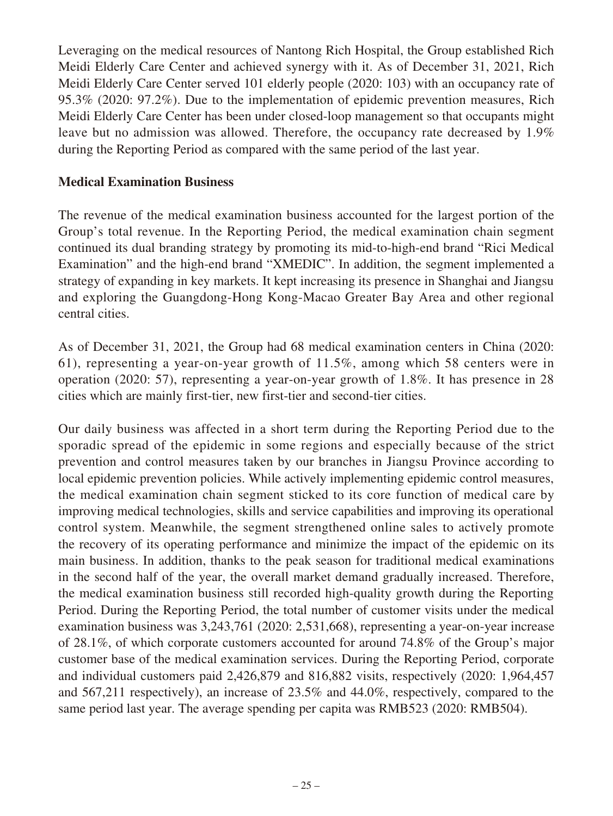Leveraging on the medical resources of Nantong Rich Hospital, the Group established Rich Meidi Elderly Care Center and achieved synergy with it. As of December 31, 2021, Rich Meidi Elderly Care Center served 101 elderly people (2020: 103) with an occupancy rate of 95.3% (2020: 97.2%). Due to the implementation of epidemic prevention measures, Rich Meidi Elderly Care Center has been under closed-loop management so that occupants might leave but no admission was allowed. Therefore, the occupancy rate decreased by 1.9% during the Reporting Period as compared with the same period of the last year.

#### **Medical Examination Business**

The revenue of the medical examination business accounted for the largest portion of the Group's total revenue. In the Reporting Period, the medical examination chain segment continued its dual branding strategy by promoting its mid-to-high-end brand "Rici Medical Examination" and the high-end brand "XMEDIC". In addition, the segment implemented a strategy of expanding in key markets. It kept increasing its presence in Shanghai and Jiangsu and exploring the Guangdong-Hong Kong-Macao Greater Bay Area and other regional central cities.

As of December 31, 2021, the Group had 68 medical examination centers in China (2020: 61), representing a year-on-year growth of 11.5%, among which 58 centers were in operation (2020: 57), representing a year-on-year growth of 1.8%. It has presence in 28 cities which are mainly first-tier, new first-tier and second-tier cities.

Our daily business was affected in a short term during the Reporting Period due to the sporadic spread of the epidemic in some regions and especially because of the strict prevention and control measures taken by our branches in Jiangsu Province according to local epidemic prevention policies. While actively implementing epidemic control measures, the medical examination chain segment sticked to its core function of medical care by improving medical technologies, skills and service capabilities and improving its operational control system. Meanwhile, the segment strengthened online sales to actively promote the recovery of its operating performance and minimize the impact of the epidemic on its main business. In addition, thanks to the peak season for traditional medical examinations in the second half of the year, the overall market demand gradually increased. Therefore, the medical examination business still recorded high-quality growth during the Reporting Period. During the Reporting Period, the total number of customer visits under the medical examination business was 3,243,761 (2020: 2,531,668), representing a year-on-year increase of 28.1%, of which corporate customers accounted for around 74.8% of the Group's major customer base of the medical examination services. During the Reporting Period, corporate and individual customers paid 2,426,879 and 816,882 visits, respectively (2020: 1,964,457 and 567,211 respectively), an increase of 23.5% and 44.0%, respectively, compared to the same period last year. The average spending per capita was RMB523 (2020: RMB504).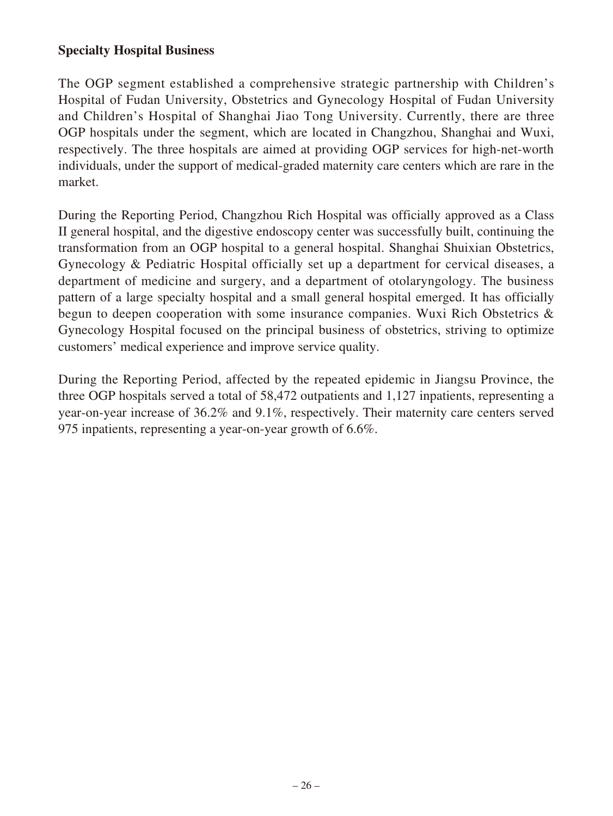### **Specialty Hospital Business**

The OGP segment established a comprehensive strategic partnership with Children's Hospital of Fudan University, Obstetrics and Gynecology Hospital of Fudan University and Children's Hospital of Shanghai Jiao Tong University. Currently, there are three OGP hospitals under the segment, which are located in Changzhou, Shanghai and Wuxi, respectively. The three hospitals are aimed at providing OGP services for high-net-worth individuals, under the support of medical-graded maternity care centers which are rare in the market.

During the Reporting Period, Changzhou Rich Hospital was officially approved as a Class II general hospital, and the digestive endoscopy center was successfully built, continuing the transformation from an OGP hospital to a general hospital. Shanghai Shuixian Obstetrics, Gynecology & Pediatric Hospital officially set up a department for cervical diseases, a department of medicine and surgery, and a department of otolaryngology. The business pattern of a large specialty hospital and a small general hospital emerged. It has officially begun to deepen cooperation with some insurance companies. Wuxi Rich Obstetrics & Gynecology Hospital focused on the principal business of obstetrics, striving to optimize customers' medical experience and improve service quality.

During the Reporting Period, affected by the repeated epidemic in Jiangsu Province, the three OGP hospitals served a total of 58,472 outpatients and 1,127 inpatients, representing a year-on-year increase of 36.2% and 9.1%, respectively. Their maternity care centers served 975 inpatients, representing a year-on-year growth of 6.6%.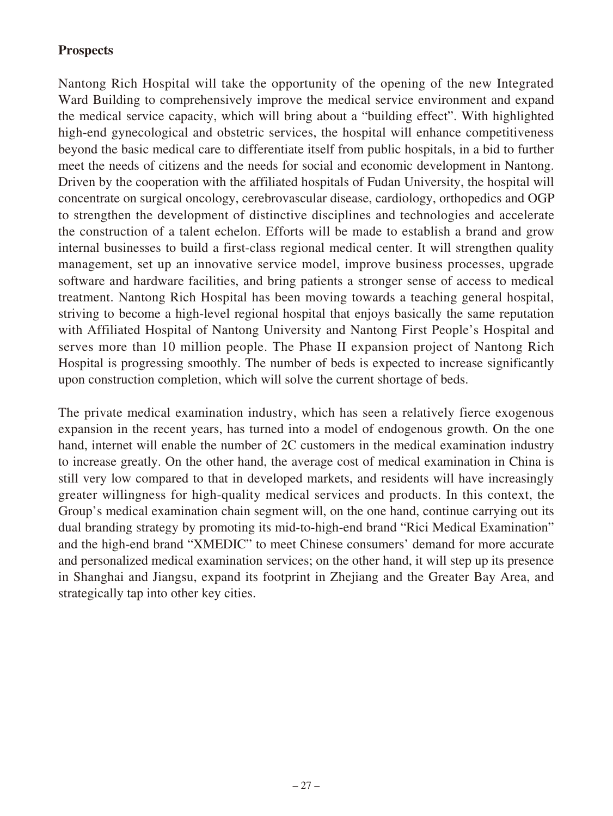## **Prospects**

Nantong Rich Hospital will take the opportunity of the opening of the new Integrated Ward Building to comprehensively improve the medical service environment and expand the medical service capacity, which will bring about a "building effect". With highlighted high-end gynecological and obstetric services, the hospital will enhance competitiveness beyond the basic medical care to differentiate itself from public hospitals, in a bid to further meet the needs of citizens and the needs for social and economic development in Nantong. Driven by the cooperation with the affiliated hospitals of Fudan University, the hospital will concentrate on surgical oncology, cerebrovascular disease, cardiology, orthopedics and OGP to strengthen the development of distinctive disciplines and technologies and accelerate the construction of a talent echelon. Efforts will be made to establish a brand and grow internal businesses to build a first-class regional medical center. It will strengthen quality management, set up an innovative service model, improve business processes, upgrade software and hardware facilities, and bring patients a stronger sense of access to medical treatment. Nantong Rich Hospital has been moving towards a teaching general hospital, striving to become a high-level regional hospital that enjoys basically the same reputation with Affiliated Hospital of Nantong University and Nantong First People's Hospital and serves more than 10 million people. The Phase II expansion project of Nantong Rich Hospital is progressing smoothly. The number of beds is expected to increase significantly upon construction completion, which will solve the current shortage of beds.

The private medical examination industry, which has seen a relatively fierce exogenous expansion in the recent years, has turned into a model of endogenous growth. On the one hand, internet will enable the number of 2C customers in the medical examination industry to increase greatly. On the other hand, the average cost of medical examination in China is still very low compared to that in developed markets, and residents will have increasingly greater willingness for high-quality medical services and products. In this context, the Group's medical examination chain segment will, on the one hand, continue carrying out its dual branding strategy by promoting its mid-to-high-end brand "Rici Medical Examination" and the high-end brand "XMEDIC" to meet Chinese consumers' demand for more accurate and personalized medical examination services; on the other hand, it will step up its presence in Shanghai and Jiangsu, expand its footprint in Zhejiang and the Greater Bay Area, and strategically tap into other key cities.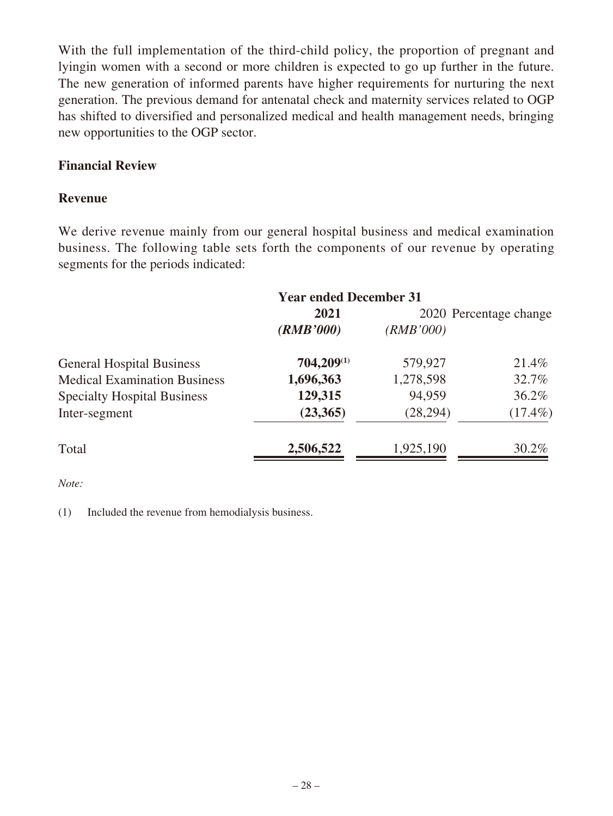With the full implementation of the third-child policy, the proportion of pregnant and lyingin women with a second or more children is expected to go up further in the future. The new generation of informed parents have higher requirements for nurturing the next generation. The previous demand for antenatal check and maternity services related to OGP has shifted to diversified and personalized medical and health management needs, bringing new opportunities to the OGP sector.

### **Financial Review**

#### **Revenue**

We derive revenue mainly from our general hospital business and medical examination business. The following table sets forth the components of our revenue by operating segments for the periods indicated:

|                                     | <b>Year ended December 31</b> |           |                        |
|-------------------------------------|-------------------------------|-----------|------------------------|
|                                     | 2021                          |           | 2020 Percentage change |
|                                     | (RMB'000)                     | (RMB'000) |                        |
| <b>General Hospital Business</b>    | 704,209(1)                    | 579,927   | 21.4%                  |
| <b>Medical Examination Business</b> | 1,696,363                     | 1,278,598 | 32.7%                  |
| <b>Specialty Hospital Business</b>  | 129,315                       | 94,959    | $36.2\%$               |
| Inter-segment                       | (23,365)                      | (28, 294) | $(17.4\%)$             |
| Total                               | 2,506,522                     | 1,925,190 | 30.2%                  |
|                                     |                               |           |                        |

*Note:*

(1) Included the revenue from hemodialysis business.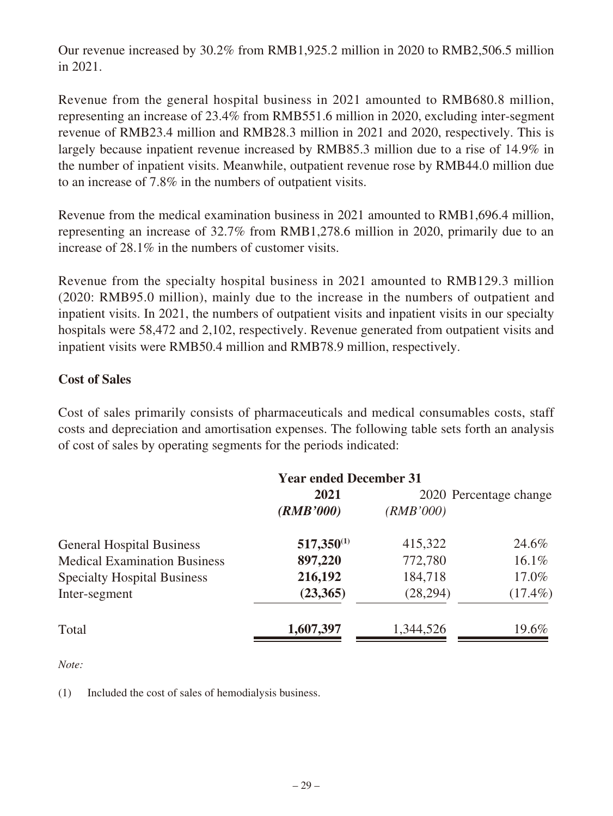Our revenue increased by 30.2% from RMB1,925.2 million in 2020 to RMB2,506.5 million in 2021.

Revenue from the general hospital business in 2021 amounted to RMB680.8 million, representing an increase of 23.4% from RMB551.6 million in 2020, excluding inter-segment revenue of RMB23.4 million and RMB28.3 million in 2021 and 2020, respectively. This is largely because inpatient revenue increased by RMB85.3 million due to a rise of 14.9% in the number of inpatient visits. Meanwhile, outpatient revenue rose by RMB44.0 million due to an increase of 7.8% in the numbers of outpatient visits.

Revenue from the medical examination business in 2021 amounted to RMB1,696.4 million, representing an increase of 32.7% from RMB1,278.6 million in 2020, primarily due to an increase of 28.1% in the numbers of customer visits.

Revenue from the specialty hospital business in 2021 amounted to RMB129.3 million (2020: RMB95.0 million), mainly due to the increase in the numbers of outpatient and inpatient visits. In 2021, the numbers of outpatient visits and inpatient visits in our specialty hospitals were 58,472 and 2,102, respectively. Revenue generated from outpatient visits and inpatient visits were RMB50.4 million and RMB78.9 million, respectively.

### **Cost of Sales**

Cost of sales primarily consists of pharmaceuticals and medical consumables costs, staff costs and depreciation and amortisation expenses. The following table sets forth an analysis of cost of sales by operating segments for the periods indicated:

|                                     | <b>Year ended December 31</b> |           |                        |
|-------------------------------------|-------------------------------|-----------|------------------------|
|                                     | 2021                          |           | 2020 Percentage change |
|                                     | (RMB'000)                     | (RMB'000) |                        |
| <b>General Hospital Business</b>    | $517,350^{(1)}$               | 415,322   | 24.6%                  |
| <b>Medical Examination Business</b> | 897,220                       | 772,780   | 16.1%                  |
| <b>Specialty Hospital Business</b>  | 216,192                       | 184,718   | 17.0%                  |
| Inter-segment                       | (23,365)                      | (28, 294) | $(17.4\%)$             |
| Total                               | 1,607,397                     | 1,344,526 | 19.6%                  |

*Note:*

(1) Included the cost of sales of hemodialysis business.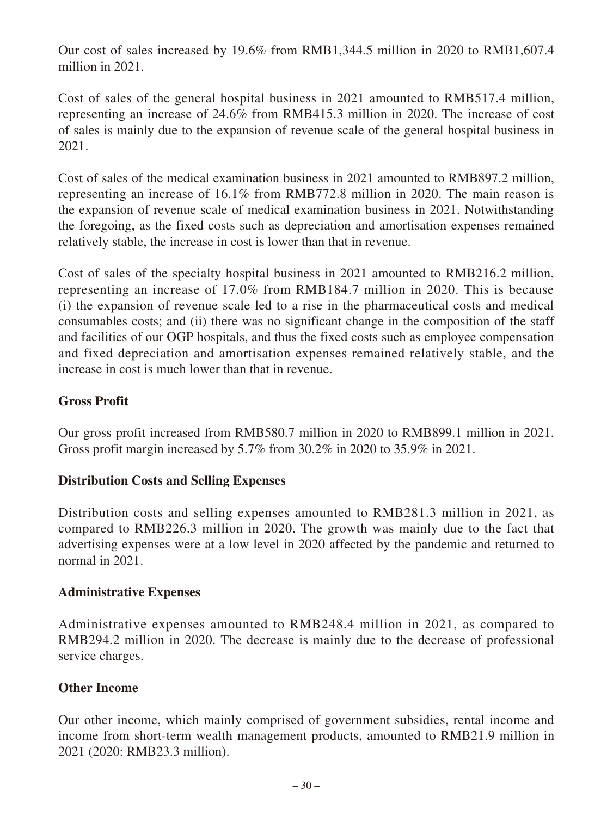Our cost of sales increased by 19.6% from RMB1,344.5 million in 2020 to RMB1,607.4 million in 2021.

Cost of sales of the general hospital business in 2021 amounted to RMB517.4 million, representing an increase of 24.6% from RMB415.3 million in 2020. The increase of cost of sales is mainly due to the expansion of revenue scale of the general hospital business in 2021.

Cost of sales of the medical examination business in 2021 amounted to RMB897.2 million, representing an increase of 16.1% from RMB772.8 million in 2020. The main reason is the expansion of revenue scale of medical examination business in 2021. Notwithstanding the foregoing, as the fixed costs such as depreciation and amortisation expenses remained relatively stable, the increase in cost is lower than that in revenue.

Cost of sales of the specialty hospital business in 2021 amounted to RMB216.2 million, representing an increase of 17.0% from RMB184.7 million in 2020. This is because (i) the expansion of revenue scale led to a rise in the pharmaceutical costs and medical consumables costs; and (ii) there was no significant change in the composition of the staff and facilities of our OGP hospitals, and thus the fixed costs such as employee compensation and fixed depreciation and amortisation expenses remained relatively stable, and the increase in cost is much lower than that in revenue.

# **Gross Profit**

Our gross profit increased from RMB580.7 million in 2020 to RMB899.1 million in 2021. Gross profit margin increased by 5.7% from 30.2% in 2020 to 35.9% in 2021.

### **Distribution Costs and Selling Expenses**

Distribution costs and selling expenses amounted to RMB281.3 million in 2021, as compared to RMB226.3 million in 2020. The growth was mainly due to the fact that advertising expenses were at a low level in 2020 affected by the pandemic and returned to normal in 2021.

### **Administrative Expenses**

Administrative expenses amounted to RMB248.4 million in 2021, as compared to RMB294.2 million in 2020. The decrease is mainly due to the decrease of professional service charges.

### **Other Income**

Our other income, which mainly comprised of government subsidies, rental income and income from short-term wealth management products, amounted to RMB21.9 million in 2021 (2020: RMB23.3 million).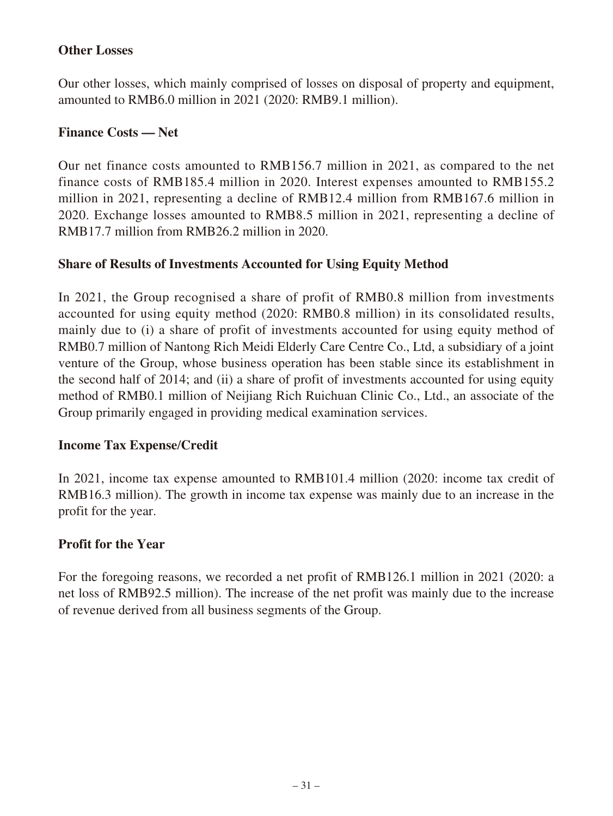### **Other Losses**

Our other losses, which mainly comprised of losses on disposal of property and equipment, amounted to RMB6.0 million in 2021 (2020: RMB9.1 million).

### **Finance Costs — Net**

Our net finance costs amounted to RMB156.7 million in 2021, as compared to the net finance costs of RMB185.4 million in 2020. Interest expenses amounted to RMB155.2 million in 2021, representing a decline of RMB12.4 million from RMB167.6 million in 2020. Exchange losses amounted to RMB8.5 million in 2021, representing a decline of RMB17.7 million from RMB26.2 million in 2020.

### **Share of Results of Investments Accounted for Using Equity Method**

In 2021, the Group recognised a share of profit of RMB0.8 million from investments accounted for using equity method (2020: RMB0.8 million) in its consolidated results, mainly due to (i) a share of profit of investments accounted for using equity method of RMB0.7 million of Nantong Rich Meidi Elderly Care Centre Co., Ltd, a subsidiary of a joint venture of the Group, whose business operation has been stable since its establishment in the second half of 2014; and (ii) a share of profit of investments accounted for using equity method of RMB0.1 million of Neijiang Rich Ruichuan Clinic Co., Ltd., an associate of the Group primarily engaged in providing medical examination services.

### **Income Tax Expense**/**Credit**

In 2021, income tax expense amounted to RMB101.4 million (2020: income tax credit of RMB16.3 million). The growth in income tax expense was mainly due to an increase in the profit for the year.

### **Profit for the Year**

For the foregoing reasons, we recorded a net profit of RMB126.1 million in 2021 (2020: a net loss of RMB92.5 million). The increase of the net profit was mainly due to the increase of revenue derived from all business segments of the Group.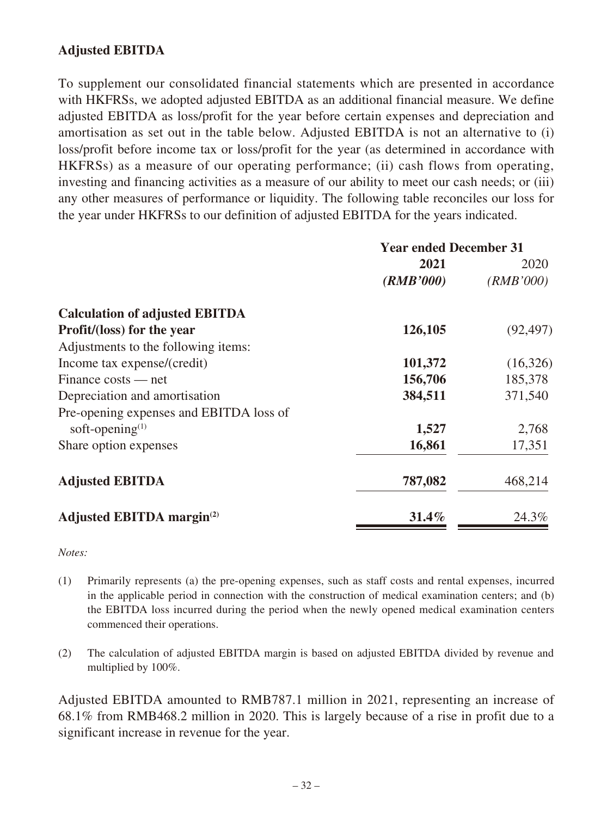## **Adjusted EBITDA**

To supplement our consolidated financial statements which are presented in accordance with HKFRSs, we adopted adjusted EBITDA as an additional financial measure. We define adjusted EBITDA as loss/profit for the year before certain expenses and depreciation and amortisation as set out in the table below. Adjusted EBITDA is not an alternative to (i) loss/profit before income tax or loss/profit for the year (as determined in accordance with HKFRSs) as a measure of our operating performance; (ii) cash flows from operating, investing and financing activities as a measure of our ability to meet our cash needs; or (iii) any other measures of performance or liquidity. The following table reconciles our loss for the year under HKFRSs to our definition of adjusted EBITDA for the years indicated.

|                                              | <b>Year ended December 31</b> |           |
|----------------------------------------------|-------------------------------|-----------|
|                                              | 2021                          | 2020      |
|                                              | (RMB'000)                     | (RMB'000) |
| <b>Calculation of adjusted EBITDA</b>        |                               |           |
| <b>Profit/(loss) for the year</b>            | 126,105                       | (92, 497) |
| Adjustments to the following items:          |                               |           |
| Income tax expense/(credit)                  | 101,372                       | (16,326)  |
| $Finance costs - net$                        | 156,706                       | 185,378   |
| Depreciation and amortisation                | 384,511                       | 371,540   |
| Pre-opening expenses and EBITDA loss of      |                               |           |
| soft-opening $(1)$                           | 1,527                         | 2,768     |
| Share option expenses                        | 16,861                        | 17,351    |
| <b>Adjusted EBITDA</b>                       | 787,082                       | 468,214   |
| <b>Adjusted EBITDA margin</b> <sup>(2)</sup> | $31.4\%$                      | 24.3%     |

*Notes:*

- (1) Primarily represents (a) the pre-opening expenses, such as staff costs and rental expenses, incurred in the applicable period in connection with the construction of medical examination centers; and (b) the EBITDA loss incurred during the period when the newly opened medical examination centers commenced their operations.
- (2) The calculation of adjusted EBITDA margin is based on adjusted EBITDA divided by revenue and multiplied by 100%.

Adjusted EBITDA amounted to RMB787.1 million in 2021, representing an increase of 68.1% from RMB468.2 million in 2020. This is largely because of a rise in profit due to a significant increase in revenue for the year.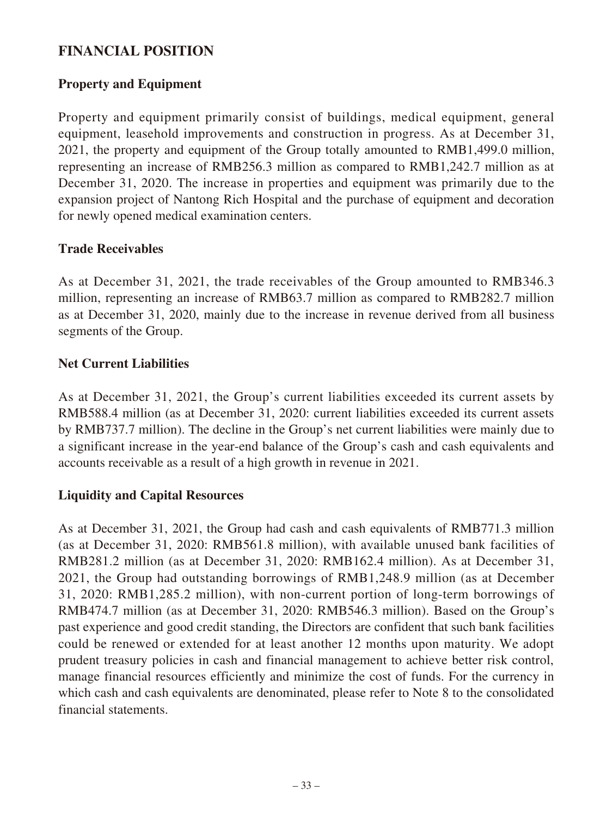# **FINANCIAL POSITION**

### **Property and Equipment**

Property and equipment primarily consist of buildings, medical equipment, general equipment, leasehold improvements and construction in progress. As at December 31, 2021, the property and equipment of the Group totally amounted to RMB1,499.0 million, representing an increase of RMB256.3 million as compared to RMB1,242.7 million as at December 31, 2020. The increase in properties and equipment was primarily due to the expansion project of Nantong Rich Hospital and the purchase of equipment and decoration for newly opened medical examination centers.

#### **Trade Receivables**

As at December 31, 2021, the trade receivables of the Group amounted to RMB346.3 million, representing an increase of RMB63.7 million as compared to RMB282.7 million as at December 31, 2020, mainly due to the increase in revenue derived from all business segments of the Group.

#### **Net Current Liabilities**

As at December 31, 2021, the Group's current liabilities exceeded its current assets by RMB588.4 million (as at December 31, 2020: current liabilities exceeded its current assets by RMB737.7 million). The decline in the Group's net current liabilities were mainly due to a significant increase in the year-end balance of the Group's cash and cash equivalents and accounts receivable as a result of a high growth in revenue in 2021.

### **Liquidity and Capital Resources**

As at December 31, 2021, the Group had cash and cash equivalents of RMB771.3 million (as at December 31, 2020: RMB561.8 million), with available unused bank facilities of RMB281.2 million (as at December 31, 2020: RMB162.4 million). As at December 31, 2021, the Group had outstanding borrowings of RMB1,248.9 million (as at December 31, 2020: RMB1,285.2 million), with non-current portion of long-term borrowings of RMB474.7 million (as at December 31, 2020: RMB546.3 million). Based on the Group's past experience and good credit standing, the Directors are confident that such bank facilities could be renewed or extended for at least another 12 months upon maturity. We adopt prudent treasury policies in cash and financial management to achieve better risk control, manage financial resources efficiently and minimize the cost of funds. For the currency in which cash and cash equivalents are denominated, please refer to Note 8 to the consolidated financial statements.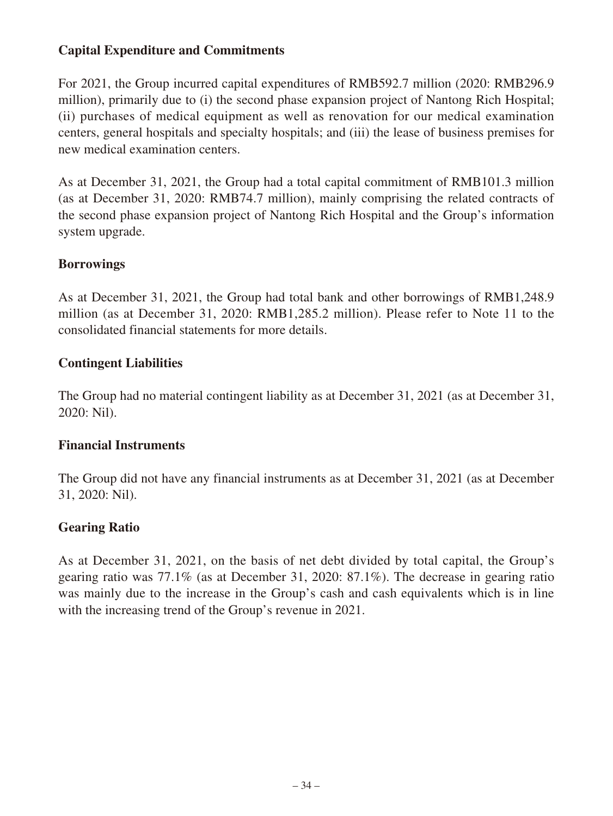## **Capital Expenditure and Commitments**

For 2021, the Group incurred capital expenditures of RMB592.7 million (2020: RMB296.9 million), primarily due to (i) the second phase expansion project of Nantong Rich Hospital; (ii) purchases of medical equipment as well as renovation for our medical examination centers, general hospitals and specialty hospitals; and (iii) the lease of business premises for new medical examination centers.

As at December 31, 2021, the Group had a total capital commitment of RMB101.3 million (as at December 31, 2020: RMB74.7 million), mainly comprising the related contracts of the second phase expansion project of Nantong Rich Hospital and the Group's information system upgrade.

### **Borrowings**

As at December 31, 2021, the Group had total bank and other borrowings of RMB1,248.9 million (as at December 31, 2020: RMB1,285.2 million). Please refer to Note 11 to the consolidated financial statements for more details.

### **Contingent Liabilities**

The Group had no material contingent liability as at December 31, 2021 (as at December 31, 2020: Nil).

### **Financial Instruments**

The Group did not have any financial instruments as at December 31, 2021 (as at December 31, 2020: Nil).

# **Gearing Ratio**

As at December 31, 2021, on the basis of net debt divided by total capital, the Group's gearing ratio was 77.1% (as at December 31, 2020: 87.1%). The decrease in gearing ratio was mainly due to the increase in the Group's cash and cash equivalents which is in line with the increasing trend of the Group's revenue in 2021.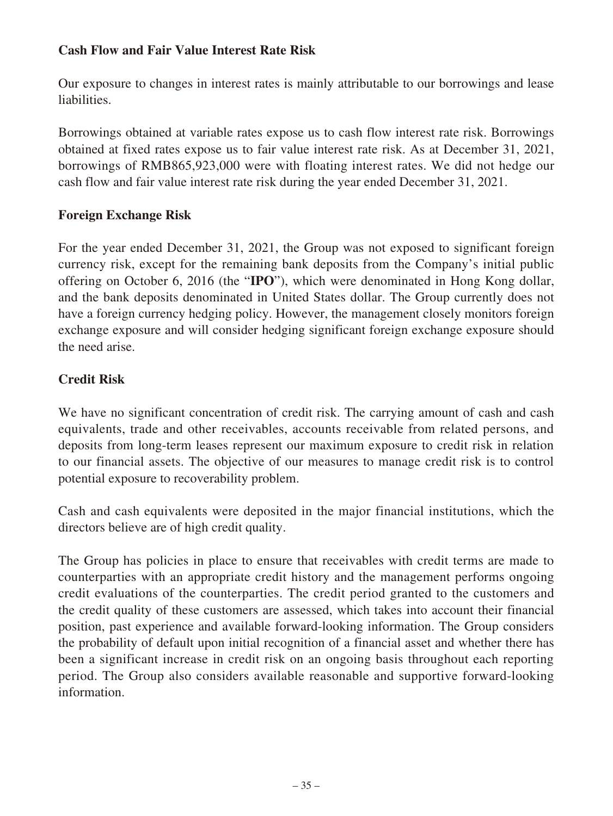## **Cash Flow and Fair Value Interest Rate Risk**

Our exposure to changes in interest rates is mainly attributable to our borrowings and lease liabilities.

Borrowings obtained at variable rates expose us to cash flow interest rate risk. Borrowings obtained at fixed rates expose us to fair value interest rate risk. As at December 31, 2021, borrowings of RMB865,923,000 were with floating interest rates. We did not hedge our cash flow and fair value interest rate risk during the year ended December 31, 2021.

### **Foreign Exchange Risk**

For the year ended December 31, 2021, the Group was not exposed to significant foreign currency risk, except for the remaining bank deposits from the Company's initial public offering on October 6, 2016 (the "**IPO**"), which were denominated in Hong Kong dollar, and the bank deposits denominated in United States dollar. The Group currently does not have a foreign currency hedging policy. However, the management closely monitors foreign exchange exposure and will consider hedging significant foreign exchange exposure should the need arise.

# **Credit Risk**

We have no significant concentration of credit risk. The carrying amount of cash and cash equivalents, trade and other receivables, accounts receivable from related persons, and deposits from long-term leases represent our maximum exposure to credit risk in relation to our financial assets. The objective of our measures to manage credit risk is to control potential exposure to recoverability problem.

Cash and cash equivalents were deposited in the major financial institutions, which the directors believe are of high credit quality.

The Group has policies in place to ensure that receivables with credit terms are made to counterparties with an appropriate credit history and the management performs ongoing credit evaluations of the counterparties. The credit period granted to the customers and the credit quality of these customers are assessed, which takes into account their financial position, past experience and available forward-looking information. The Group considers the probability of default upon initial recognition of a financial asset and whether there has been a significant increase in credit risk on an ongoing basis throughout each reporting period. The Group also considers available reasonable and supportive forward-looking information.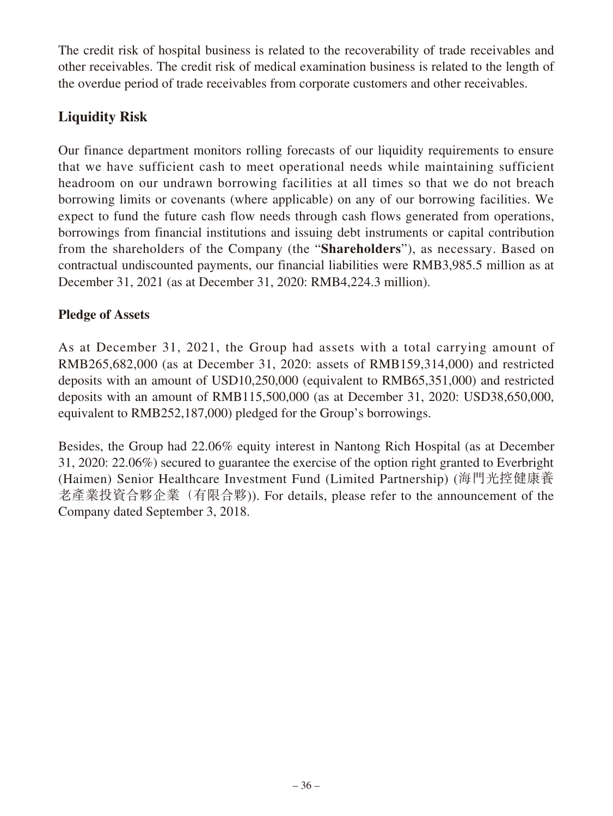The credit risk of hospital business is related to the recoverability of trade receivables and other receivables. The credit risk of medical examination business is related to the length of the overdue period of trade receivables from corporate customers and other receivables.

# **Liquidity Risk**

Our finance department monitors rolling forecasts of our liquidity requirements to ensure that we have sufficient cash to meet operational needs while maintaining sufficient headroom on our undrawn borrowing facilities at all times so that we do not breach borrowing limits or covenants (where applicable) on any of our borrowing facilities. We expect to fund the future cash flow needs through cash flows generated from operations, borrowings from financial institutions and issuing debt instruments or capital contribution from the shareholders of the Company (the "**Shareholders**"), as necessary. Based on contractual undiscounted payments, our financial liabilities were RMB3,985.5 million as at December 31, 2021 (as at December 31, 2020: RMB4,224.3 million).

# **Pledge of Assets**

As at December 31, 2021, the Group had assets with a total carrying amount of RMB265,682,000 (as at December 31, 2020: assets of RMB159,314,000) and restricted deposits with an amount of USD10,250,000 (equivalent to RMB65,351,000) and restricted deposits with an amount of RMB115,500,000 (as at December 31, 2020: USD38,650,000, equivalent to RMB252,187,000) pledged for the Group's borrowings.

Besides, the Group had 22.06% equity interest in Nantong Rich Hospital (as at December 31, 2020: 22.06%) secured to guarantee the exercise of the option right granted to Everbright (Haimen) Senior Healthcare Investment Fund (Limited Partnership) (海門光控健康養 老產業投資合夥企業 (有限合夥)). For details, please refer to the announcement of the Company dated September 3, 2018.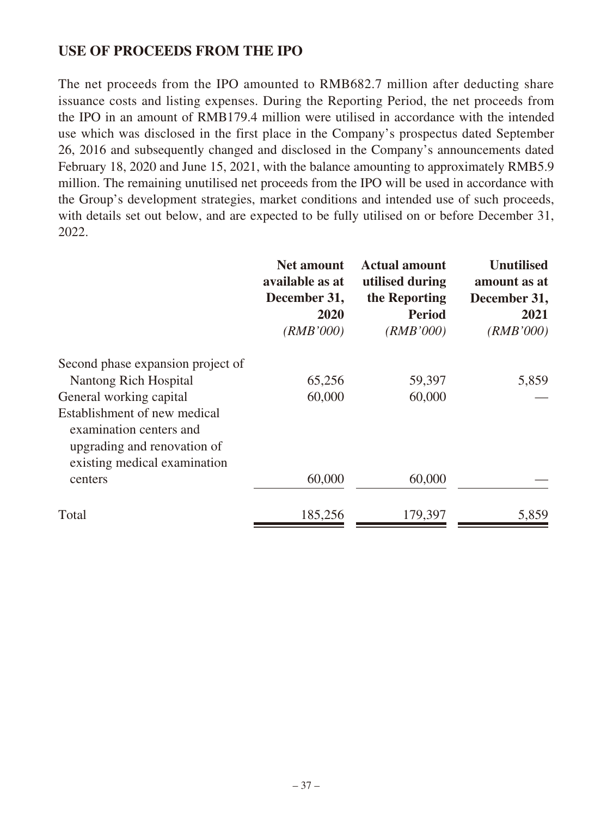# **USE OF PROCEEDS FROM THE IPO**

The net proceeds from the IPO amounted to RMB682.7 million after deducting share issuance costs and listing expenses. During the Reporting Period, the net proceeds from the IPO in an amount of RMB179.4 million were utilised in accordance with the intended use which was disclosed in the first place in the Company's prospectus dated September 26, 2016 and subsequently changed and disclosed in the Company's announcements dated February 18, 2020 and June 15, 2021, with the balance amounting to approximately RMB5.9 million. The remaining unutilised net proceeds from the IPO will be used in accordance with the Group's development strategies, market conditions and intended use of such proceeds, with details set out below, and are expected to be fully utilised on or before December 31, 2022.

|                                                                                                                        | <b>Net amount</b><br>available as at<br>December 31,<br>2020<br>(RMB'000) | <b>Actual amount</b><br>utilised during<br>the Reporting<br><b>Period</b><br>(RMB'000) | <b>Unutilised</b><br>amount as at<br>December 31,<br>2021<br>(RMB'000) |
|------------------------------------------------------------------------------------------------------------------------|---------------------------------------------------------------------------|----------------------------------------------------------------------------------------|------------------------------------------------------------------------|
| Second phase expansion project of                                                                                      |                                                                           |                                                                                        |                                                                        |
| Nantong Rich Hospital                                                                                                  | 65,256                                                                    | 59,397                                                                                 | 5,859                                                                  |
| General working capital                                                                                                | 60,000                                                                    | 60,000                                                                                 |                                                                        |
| Establishment of new medical<br>examination centers and<br>upgrading and renovation of<br>existing medical examination |                                                                           |                                                                                        |                                                                        |
| centers                                                                                                                | 60,000                                                                    | 60,000                                                                                 |                                                                        |
| Total                                                                                                                  | 185,256                                                                   | 179,397                                                                                | 5,859                                                                  |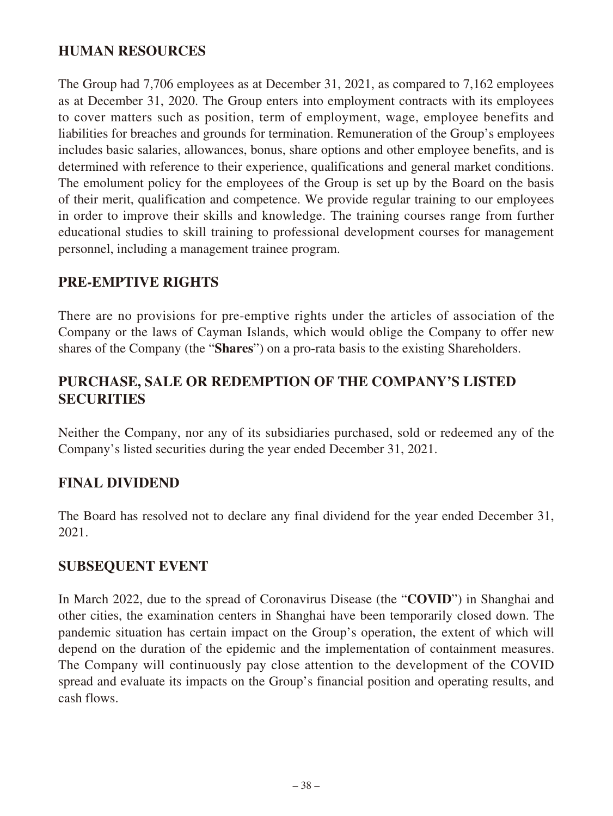# **HUMAN RESOURCES**

The Group had 7,706 employees as at December 31, 2021, as compared to 7,162 employees as at December 31, 2020. The Group enters into employment contracts with its employees to cover matters such as position, term of employment, wage, employee benefits and liabilities for breaches and grounds for termination. Remuneration of the Group's employees includes basic salaries, allowances, bonus, share options and other employee benefits, and is determined with reference to their experience, qualifications and general market conditions. The emolument policy for the employees of the Group is set up by the Board on the basis of their merit, qualification and competence. We provide regular training to our employees in order to improve their skills and knowledge. The training courses range from further educational studies to skill training to professional development courses for management personnel, including a management trainee program.

# **PRE-EMPTIVE RIGHTS**

There are no provisions for pre-emptive rights under the articles of association of the Company or the laws of Cayman Islands, which would oblige the Company to offer new shares of the Company (the "**Shares**") on a pro-rata basis to the existing Shareholders.

# **PURCHASE, SALE OR REDEMPTION OF THE COMPANY'S LISTED SECURITIES**

Neither the Company, nor any of its subsidiaries purchased, sold or redeemed any of the Company's listed securities during the year ended December 31, 2021.

# **FINAL DIVIDEND**

The Board has resolved not to declare any final dividend for the year ended December 31, 2021.

### **SUBSEQUENT EVENT**

In March 2022, due to the spread of Coronavirus Disease (the "**COVID**") in Shanghai and other cities, the examination centers in Shanghai have been temporarily closed down. The pandemic situation has certain impact on the Group's operation, the extent of which will depend on the duration of the epidemic and the implementation of containment measures. The Company will continuously pay close attention to the development of the COVID spread and evaluate its impacts on the Group's financial position and operating results, and cash flows.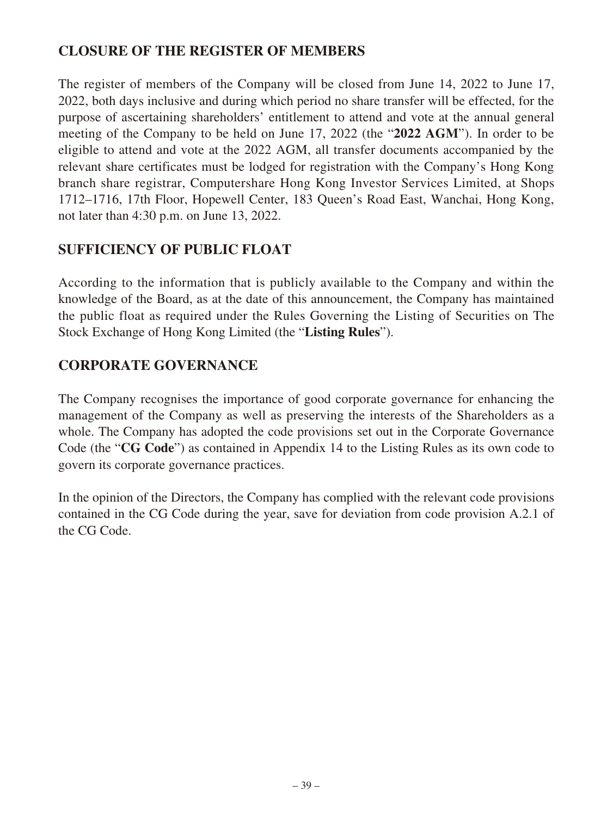# **CLOSURE OF THE REGISTER OF MEMBERS**

The register of members of the Company will be closed from June 14, 2022 to June 17, 2022, both days inclusive and during which period no share transfer will be effected, for the purpose of ascertaining shareholders' entitlement to attend and vote at the annual general meeting of the Company to be held on June 17, 2022 (the "**2022 AGM**"). In order to be eligible to attend and vote at the 2022 AGM, all transfer documents accompanied by the relevant share certificates must be lodged for registration with the Company's Hong Kong branch share registrar, Computershare Hong Kong Investor Services Limited, at Shops 1712–1716, 17th Floor, Hopewell Center, 183 Queen's Road East, Wanchai, Hong Kong, not later than 4:30 p.m. on June 13, 2022.

# **SUFFICIENCY OF PUBLIC FLOAT**

According to the information that is publicly available to the Company and within the knowledge of the Board, as at the date of this announcement, the Company has maintained the public float as required under the Rules Governing the Listing of Securities on The Stock Exchange of Hong Kong Limited (the "**Listing Rules**").

# **CORPORATE GOVERNANCE**

The Company recognises the importance of good corporate governance for enhancing the management of the Company as well as preserving the interests of the Shareholders as a whole. The Company has adopted the code provisions set out in the Corporate Governance Code (the "**CG Code**") as contained in Appendix 14 to the Listing Rules as its own code to govern its corporate governance practices.

In the opinion of the Directors, the Company has complied with the relevant code provisions contained in the CG Code during the year, save for deviation from code provision A.2.1 of the CG Code.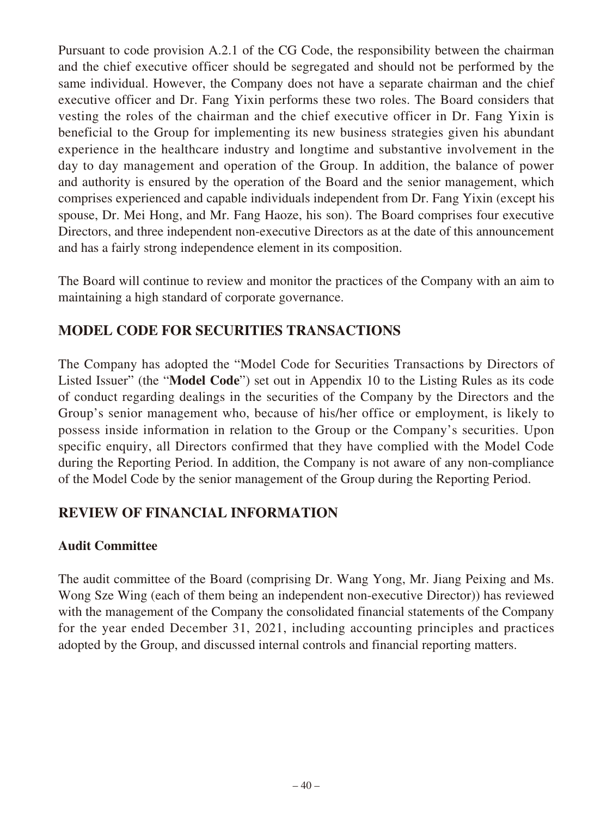Pursuant to code provision A.2.1 of the CG Code, the responsibility between the chairman and the chief executive officer should be segregated and should not be performed by the same individual. However, the Company does not have a separate chairman and the chief executive officer and Dr. Fang Yixin performs these two roles. The Board considers that vesting the roles of the chairman and the chief executive officer in Dr. Fang Yixin is beneficial to the Group for implementing its new business strategies given his abundant experience in the healthcare industry and longtime and substantive involvement in the day to day management and operation of the Group. In addition, the balance of power and authority is ensured by the operation of the Board and the senior management, which comprises experienced and capable individuals independent from Dr. Fang Yixin (except his spouse, Dr. Mei Hong, and Mr. Fang Haoze, his son). The Board comprises four executive Directors, and three independent non-executive Directors as at the date of this announcement and has a fairly strong independence element in its composition.

The Board will continue to review and monitor the practices of the Company with an aim to maintaining a high standard of corporate governance.

# **MODEL CODE FOR SECURITIES TRANSACTIONS**

The Company has adopted the "Model Code for Securities Transactions by Directors of Listed Issuer" (the "**Model Code**") set out in Appendix 10 to the Listing Rules as its code of conduct regarding dealings in the securities of the Company by the Directors and the Group's senior management who, because of his/her office or employment, is likely to possess inside information in relation to the Group or the Company's securities. Upon specific enquiry, all Directors confirmed that they have complied with the Model Code during the Reporting Period. In addition, the Company is not aware of any non-compliance of the Model Code by the senior management of the Group during the Reporting Period.

# **REVIEW OF FINANCIAL INFORMATION**

# **Audit Committee**

The audit committee of the Board (comprising Dr. Wang Yong, Mr. Jiang Peixing and Ms. Wong Sze Wing (each of them being an independent non-executive Director)) has reviewed with the management of the Company the consolidated financial statements of the Company for the year ended December 31, 2021, including accounting principles and practices adopted by the Group, and discussed internal controls and financial reporting matters.